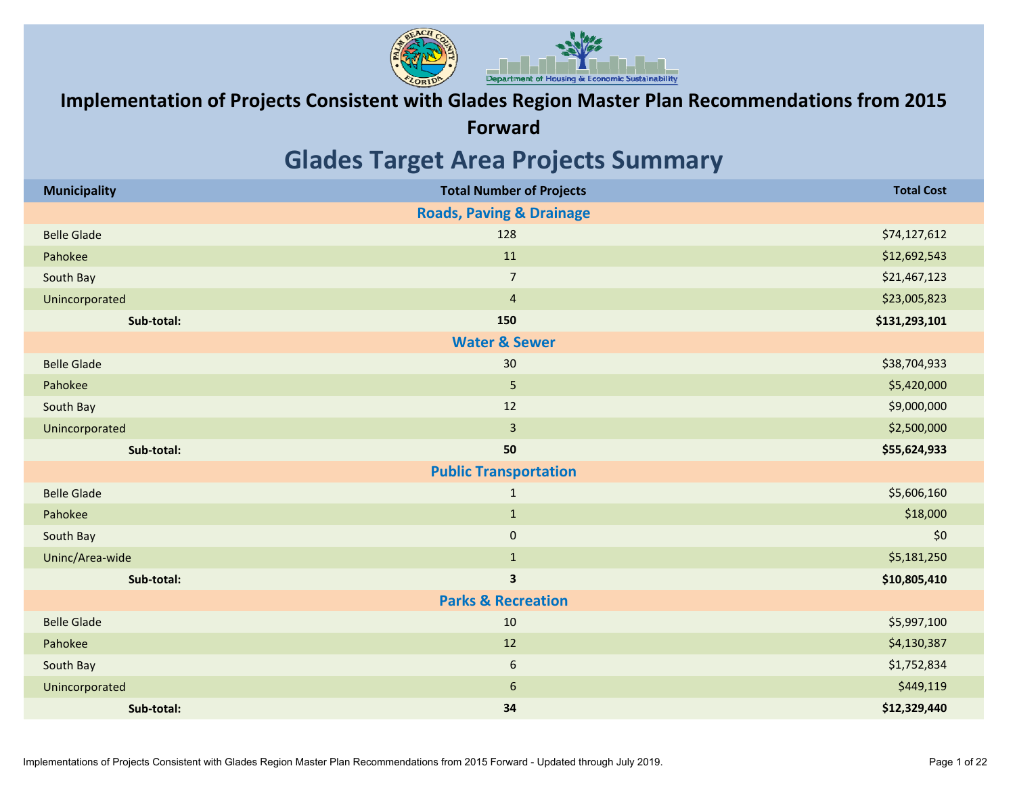

### **Implementation of Projects Consistent with Glades Region Master Plan Recommendations from 2015**

**Forward**

### **Glades Target Area Projects Summary**

| <b>Municipality</b> | <b>Total Number of Projects</b>     | <b>Total Cost</b> |
|---------------------|-------------------------------------|-------------------|
|                     | <b>Roads, Paving &amp; Drainage</b> |                   |
| <b>Belle Glade</b>  | 128                                 | \$74,127,612      |
| Pahokee             | 11                                  | \$12,692,543      |
| South Bay           | $\overline{7}$                      | \$21,467,123      |
| Unincorporated      | $\overline{4}$                      | \$23,005,823      |
| Sub-total:          | 150                                 | \$131,293,101     |
|                     | <b>Water &amp; Sewer</b>            |                   |
| <b>Belle Glade</b>  | 30                                  | \$38,704,933      |
| Pahokee             | 5                                   | \$5,420,000       |
| South Bay           | 12                                  | \$9,000,000       |
| Unincorporated      | $\overline{3}$                      | \$2,500,000       |
| Sub-total:          | 50                                  | \$55,624,933      |
|                     | <b>Public Transportation</b>        |                   |
| <b>Belle Glade</b>  | $\mathbf{1}$                        | \$5,606,160       |
| Pahokee             | $\mathbf{1}$                        | \$18,000          |
| South Bay           | $\mathbf 0$                         | \$0               |
| Uninc/Area-wide     | $\mathbf{1}$                        | \$5,181,250       |
| Sub-total:          | $\overline{\mathbf{3}}$             | \$10,805,410      |
|                     | <b>Parks &amp; Recreation</b>       |                   |
| <b>Belle Glade</b>  | 10                                  | \$5,997,100       |
| Pahokee             | 12                                  | \$4,130,387       |
| South Bay           | $6\,$                               | \$1,752,834       |
| Unincorporated      | $6\,$                               | \$449,119         |
| Sub-total:          | 34                                  | \$12,329,440      |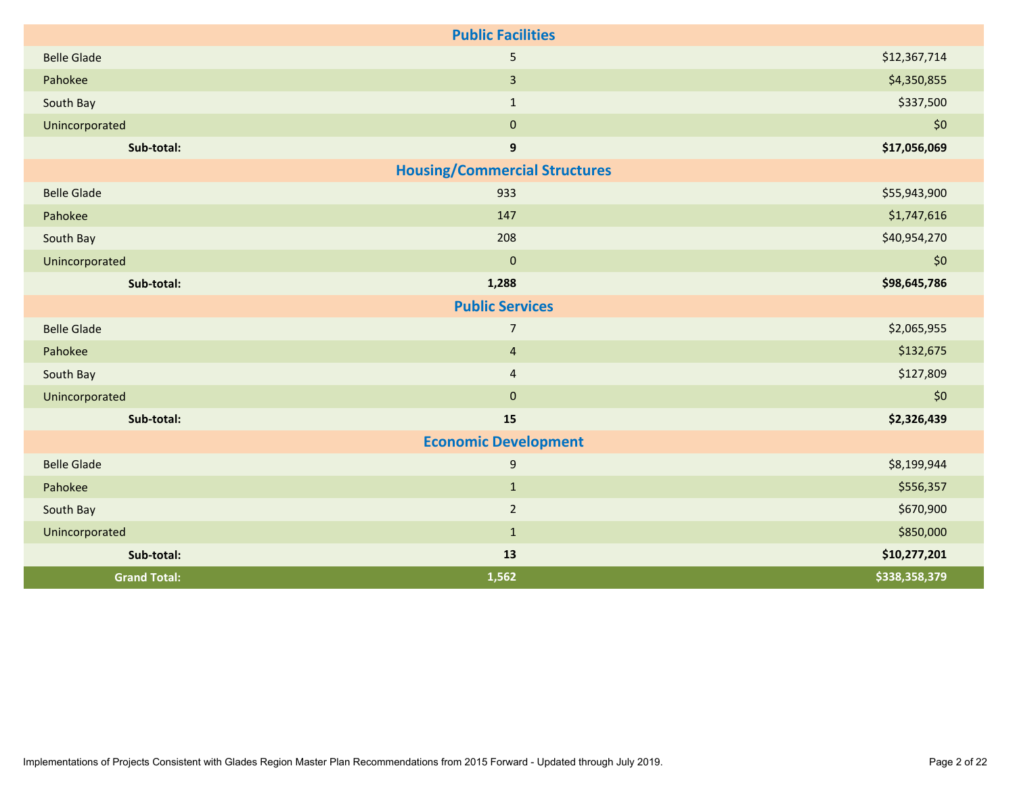| <b>Public Facilities</b> |                                      |               |  |  |  |  |  |  |
|--------------------------|--------------------------------------|---------------|--|--|--|--|--|--|
| <b>Belle Glade</b>       | 5                                    | \$12,367,714  |  |  |  |  |  |  |
| Pahokee                  | $\overline{3}$                       | \$4,350,855   |  |  |  |  |  |  |
| South Bay                | $\mathbf{1}$                         | \$337,500     |  |  |  |  |  |  |
| Unincorporated           | $\mathbf{0}$                         | \$0           |  |  |  |  |  |  |
| Sub-total:               | $\boldsymbol{9}$                     | \$17,056,069  |  |  |  |  |  |  |
|                          | <b>Housing/Commercial Structures</b> |               |  |  |  |  |  |  |
| <b>Belle Glade</b>       | 933                                  | \$55,943,900  |  |  |  |  |  |  |
| Pahokee                  | 147                                  | \$1,747,616   |  |  |  |  |  |  |
| South Bay                | 208                                  | \$40,954,270  |  |  |  |  |  |  |
| Unincorporated           | $\overline{0}$                       | \$0           |  |  |  |  |  |  |
| Sub-total:               | 1,288                                | \$98,645,786  |  |  |  |  |  |  |
|                          | <b>Public Services</b>               |               |  |  |  |  |  |  |
| <b>Belle Glade</b>       | $\overline{7}$                       | \$2,065,955   |  |  |  |  |  |  |
| Pahokee                  | $\overline{4}$                       | \$132,675     |  |  |  |  |  |  |
| South Bay                | $\overline{4}$                       | \$127,809     |  |  |  |  |  |  |
| Unincorporated           | $\mathbf{0}$                         | \$0           |  |  |  |  |  |  |
| Sub-total:               | 15                                   | \$2,326,439   |  |  |  |  |  |  |
|                          | <b>Economic Development</b>          |               |  |  |  |  |  |  |
| <b>Belle Glade</b>       | $\overline{9}$                       | \$8,199,944   |  |  |  |  |  |  |
| Pahokee                  | $\mathbf{1}$                         | \$556,357     |  |  |  |  |  |  |
| South Bay                | $\overline{2}$                       | \$670,900     |  |  |  |  |  |  |
| Unincorporated           | $\mathbf{1}$                         | \$850,000     |  |  |  |  |  |  |
| Sub-total:               | 13                                   | \$10,277,201  |  |  |  |  |  |  |
| <b>Grand Total:</b>      | 1,562                                | \$338,358,379 |  |  |  |  |  |  |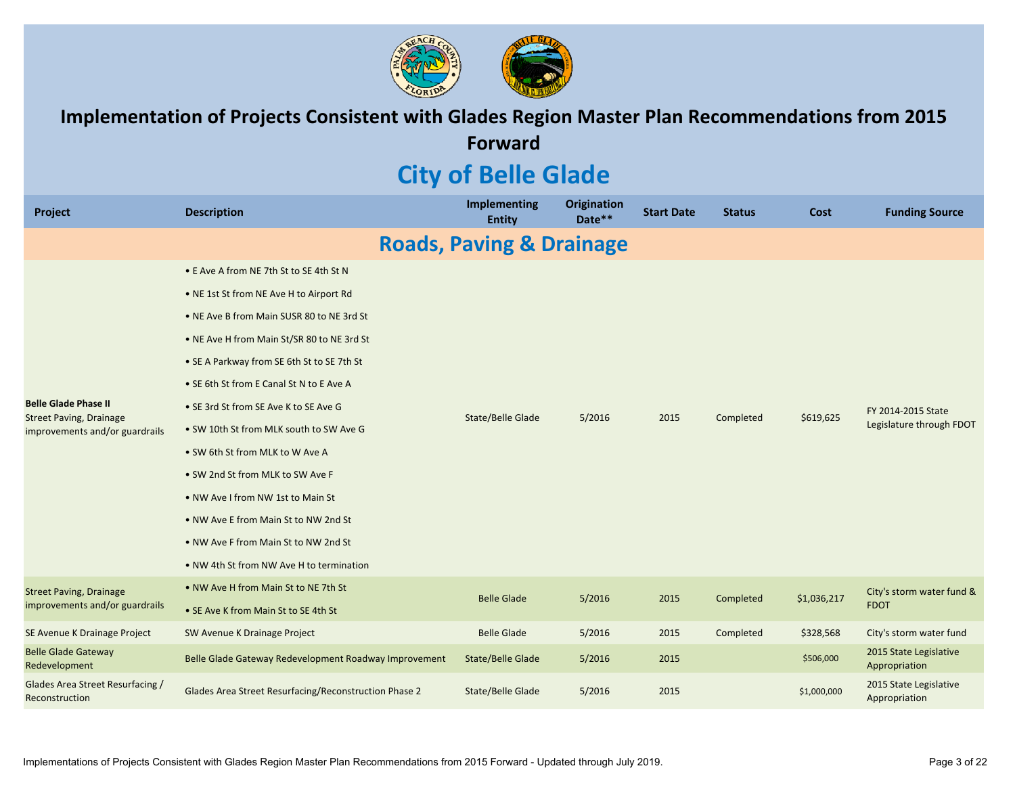

**Implementation of Projects Consistent with Glades Region Master Plan Recommendations from 2015 Forward**

# **City of Belle Glade**

| Project                                                                                         | <b>Description</b>                                    | <b>Implementing</b><br><b>Entity</b> | <b>Origination</b><br>Date** | <b>Start Date</b> | <b>Status</b> | Cost        | <b>Funding Source</b>                          |
|-------------------------------------------------------------------------------------------------|-------------------------------------------------------|--------------------------------------|------------------------------|-------------------|---------------|-------------|------------------------------------------------|
|                                                                                                 |                                                       | <b>Roads, Paving &amp; Drainage</b>  |                              |                   |               |             |                                                |
|                                                                                                 | • E Ave A from NE 7th St to SE 4th St N               |                                      |                              |                   |               |             |                                                |
|                                                                                                 | . NE 1st St from NE Ave H to Airport Rd               |                                      |                              |                   |               |             |                                                |
|                                                                                                 | • NE Ave B from Main SUSR 80 to NE 3rd St             |                                      |                              |                   |               |             |                                                |
|                                                                                                 | • NE Ave H from Main St/SR 80 to NE 3rd St            |                                      |                              |                   |               |             |                                                |
|                                                                                                 | • SE A Parkway from SE 6th St to SE 7th St            |                                      |                              |                   |               |             | FY 2014-2015 State<br>Legislature through FDOT |
| <b>Belle Glade Phase II</b><br><b>Street Paving, Drainage</b><br>improvements and/or guardrails | • SE 6th St from E Canal St N to E Ave A              |                                      |                              |                   |               |             |                                                |
|                                                                                                 | • SE 3rd St from SE Ave K to SE Ave G                 | State/Belle Glade                    | 5/2016                       | 2015              | Completed     | \$619,625   |                                                |
|                                                                                                 | . SW 10th St from MLK south to SW Ave G               |                                      |                              |                   |               |             |                                                |
|                                                                                                 | • SW 6th St from MLK to W Ave A                       |                                      |                              |                   |               |             |                                                |
|                                                                                                 | • SW 2nd St from MLK to SW Ave F                      |                                      |                              |                   |               |             |                                                |
|                                                                                                 | . NW Ave I from NW 1st to Main St                     |                                      |                              |                   |               |             |                                                |
|                                                                                                 | . NW Ave E from Main St to NW 2nd St                  |                                      |                              |                   |               |             |                                                |
|                                                                                                 | . NW Ave F from Main St to NW 2nd St                  |                                      |                              |                   |               |             |                                                |
|                                                                                                 | . NW 4th St from NW Ave H to termination              |                                      |                              |                   |               |             |                                                |
| <b>Street Paving, Drainage</b>                                                                  | • NW Ave H from Main St to NE 7th St                  | <b>Belle Glade</b>                   | 5/2016                       | 2015              | Completed     | \$1,036,217 | City's storm water fund &                      |
| improvements and/or guardrails                                                                  | • SE Ave K from Main St to SE 4th St                  |                                      |                              |                   |               |             | <b>FDOT</b>                                    |
| SE Avenue K Drainage Project                                                                    | SW Avenue K Drainage Project                          | <b>Belle Glade</b>                   | 5/2016                       | 2015              | Completed     | \$328,568   | City's storm water fund                        |
| <b>Belle Glade Gateway</b><br>Redevelopment                                                     | Belle Glade Gateway Redevelopment Roadway Improvement | <b>State/Belle Glade</b>             | 5/2016                       | 2015              |               | \$506,000   | 2015 State Legislative<br>Appropriation        |
| Glades Area Street Resurfacing /<br>Reconstruction                                              | Glades Area Street Resurfacing/Reconstruction Phase 2 | State/Belle Glade                    | 5/2016                       | 2015              |               | \$1,000,000 | 2015 State Legislative<br>Appropriation        |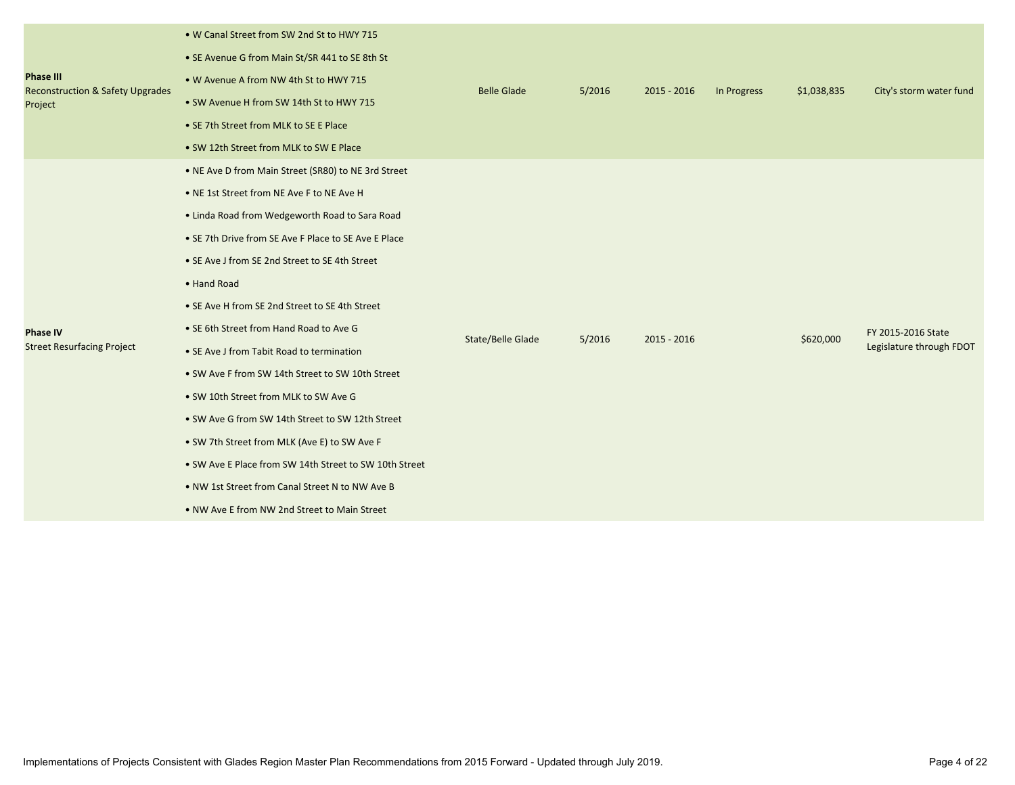| <b>Phase III</b><br><b>Reconstruction &amp; Safety Upgrades</b><br>Project | . W Canal Street from SW 2nd St to HWY 715<br>• SE Avenue G from Main St/SR 441 to SE 8th St<br>. W Avenue A from NW 4th St to HWY 715<br>• SW Avenue H from SW 14th St to HWY 715<br>• SE 7th Street from MLK to SE E Place<br>• SW 12th Street from MLK to SW E Place                                                                                                                                                                                                                                                                                                                                                                                                                                                                                                             | <b>Belle Glade</b> | 5/2016 | $2015 - 2016$ | In Progress | \$1,038,835 | City's storm water fund                        |
|----------------------------------------------------------------------------|-------------------------------------------------------------------------------------------------------------------------------------------------------------------------------------------------------------------------------------------------------------------------------------------------------------------------------------------------------------------------------------------------------------------------------------------------------------------------------------------------------------------------------------------------------------------------------------------------------------------------------------------------------------------------------------------------------------------------------------------------------------------------------------|--------------------|--------|---------------|-------------|-------------|------------------------------------------------|
| <b>Phase IV</b><br><b>Street Resurfacing Project</b>                       | • NE Ave D from Main Street (SR80) to NE 3rd Street<br>• NE 1st Street from NE Ave F to NE Ave H<br>• Linda Road from Wedgeworth Road to Sara Road<br>• SE 7th Drive from SE Ave F Place to SE Ave E Place<br>• SE Ave J from SE 2nd Street to SE 4th Street<br>• Hand Road<br>• SE Ave H from SE 2nd Street to SE 4th Street<br>• SE 6th Street from Hand Road to Ave G<br>• SE Ave J from Tabit Road to termination<br>• SW Ave F from SW 14th Street to SW 10th Street<br>. SW 10th Street from MLK to SW Ave G<br>• SW Ave G from SW 14th Street to SW 12th Street<br>• SW 7th Street from MLK (Ave E) to SW Ave F<br>• SW Ave E Place from SW 14th Street to SW 10th Street<br>. NW 1st Street from Canal Street N to NW Ave B<br>. NW Ave E from NW 2nd Street to Main Street | State/Belle Glade  | 5/2016 | $2015 - 2016$ |             | \$620,000   | FY 2015-2016 State<br>Legislature through FDOT |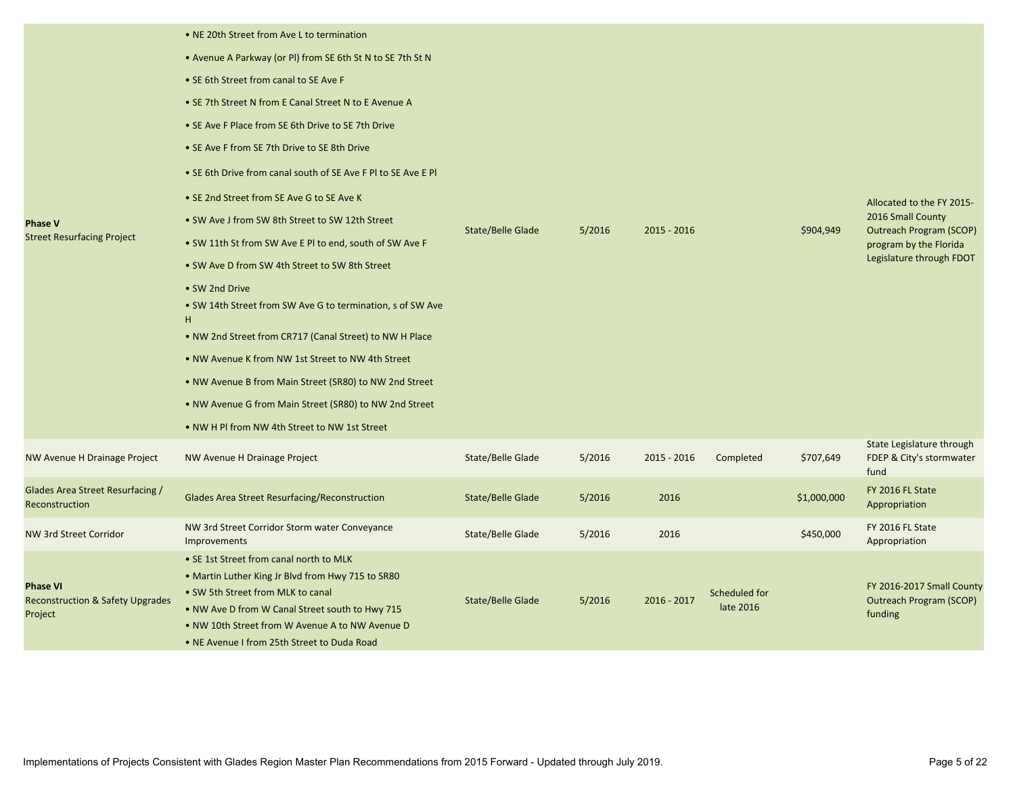| <b>Phase V</b><br><b>Street Resurfacing Project</b>                       | • NE 20th Street from Ave L to termination<br>• Avenue A Parkway (or PI) from SE 6th St N to SE 7th St N<br>• SE 6th Street from canal to SE Ave F<br>• SE 7th Street N from E Canal Street N to E Avenue A<br>• SE Ave F Place from SE 6th Drive to SE 7th Drive<br>• SE Ave F from SE 7th Drive to SE 8th Drive<br>• SE 6th Drive from canal south of SE Ave F PI to SE Ave E PI<br>• SE 2nd Street from SE Ave G to SE Ave K<br>• SW Ave J from SW 8th Street to SW 12th Street<br>. SW 11th St from SW Ave E PI to end, south of SW Ave F<br>• SW Ave D from SW 4th Street to SW 8th Street<br>• SW 2nd Drive<br>• SW 14th Street from SW Ave G to termination, s of SW Ave<br>н<br>. NW 2nd Street from CR717 (Canal Street) to NW H Place<br>. NW Avenue K from NW 1st Street to NW 4th Street<br>• NW Avenue B from Main Street (SR80) to NW 2nd Street<br>. NW Avenue G from Main Street (SR80) to NW 2nd Street<br>• NW H PI from NW 4th Street to NW 1st Street | State/Belle Glade        | 5/2016 | $2015 - 2016$ |                            | \$904,949   | Allocated to the FY 2015-<br>2016 Small County<br><b>Outreach Program (SCOP)</b><br>program by the Florida<br>Legislature through FDOT |
|---------------------------------------------------------------------------|---------------------------------------------------------------------------------------------------------------------------------------------------------------------------------------------------------------------------------------------------------------------------------------------------------------------------------------------------------------------------------------------------------------------------------------------------------------------------------------------------------------------------------------------------------------------------------------------------------------------------------------------------------------------------------------------------------------------------------------------------------------------------------------------------------------------------------------------------------------------------------------------------------------------------------------------------------------------------|--------------------------|--------|---------------|----------------------------|-------------|----------------------------------------------------------------------------------------------------------------------------------------|
| <b>NW Avenue H Drainage Project</b>                                       | NW Avenue H Drainage Project                                                                                                                                                                                                                                                                                                                                                                                                                                                                                                                                                                                                                                                                                                                                                                                                                                                                                                                                              | <b>State/Belle Glade</b> | 5/2016 | $2015 - 2016$ | Completed                  | \$707,649   | State Legislature through<br>FDEP & City's stormwater<br>fund                                                                          |
| Glades Area Street Resurfacing /<br>Reconstruction                        | Glades Area Street Resurfacing/Reconstruction                                                                                                                                                                                                                                                                                                                                                                                                                                                                                                                                                                                                                                                                                                                                                                                                                                                                                                                             | State/Belle Glade        | 5/2016 | 2016          |                            | \$1,000,000 | FY 2016 FL State<br>Appropriation                                                                                                      |
| NW 3rd Street Corridor                                                    | NW 3rd Street Corridor Storm water Conveyance<br>Improvements                                                                                                                                                                                                                                                                                                                                                                                                                                                                                                                                                                                                                                                                                                                                                                                                                                                                                                             | State/Belle Glade        | 5/2016 | 2016          |                            | \$450,000   | FY 2016 FL State<br>Appropriation                                                                                                      |
| <b>Phase VI</b><br><b>Reconstruction &amp; Safety Upgrades</b><br>Project | • SE 1st Street from canal north to MLK<br>• Martin Luther King Jr Blvd from Hwy 715 to SR80<br>• SW 5th Street from MLK to canal<br>. NW Ave D from W Canal Street south to Hwy 715<br>. NW 10th Street from W Avenue A to NW Avenue D<br>. NE Avenue I from 25th Street to Duda Road                                                                                                                                                                                                                                                                                                                                                                                                                                                                                                                                                                                                                                                                                    | State/Belle Glade        | 5/2016 | $2016 - 2017$ | Scheduled for<br>late 2016 |             | FY 2016-2017 Small County<br><b>Outreach Program (SCOP)</b><br>funding                                                                 |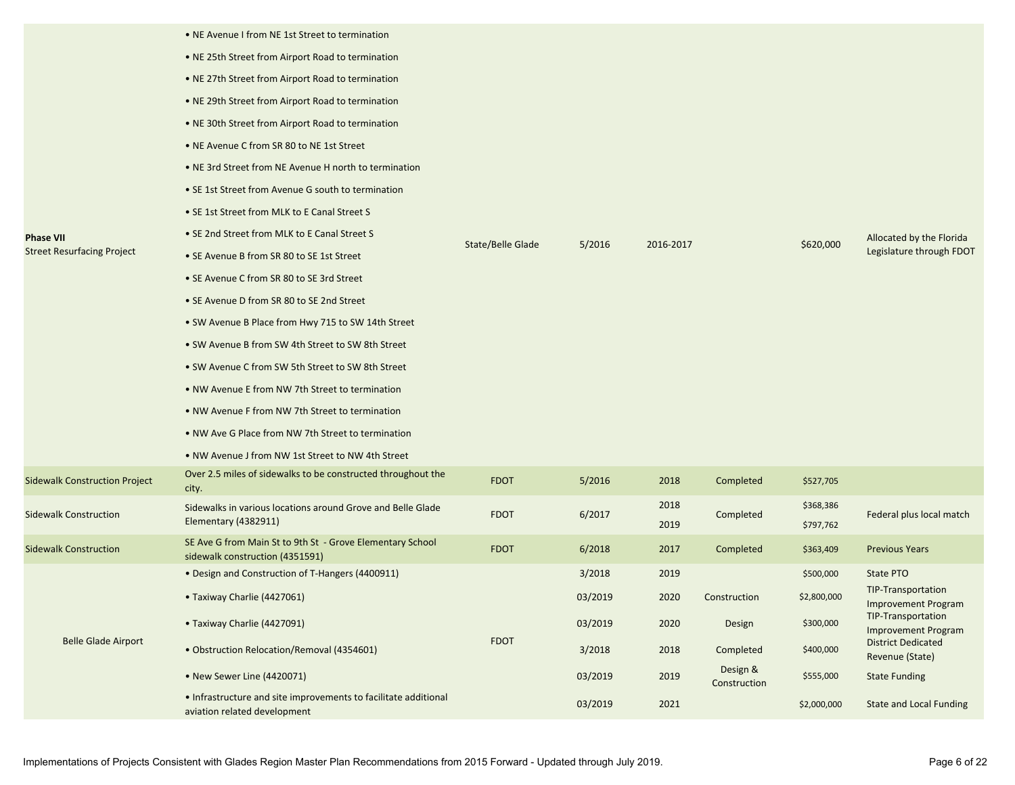|                                      | • NE Avenue I from NE 1st Street to termination                                                 |                   |         |              |                          |                        |                                                  |
|--------------------------------------|-------------------------------------------------------------------------------------------------|-------------------|---------|--------------|--------------------------|------------------------|--------------------------------------------------|
|                                      | • NE 25th Street from Airport Road to termination                                               |                   |         |              |                          |                        |                                                  |
|                                      | • NE 27th Street from Airport Road to termination                                               |                   |         |              |                          |                        |                                                  |
|                                      | • NE 29th Street from Airport Road to termination                                               |                   |         |              |                          |                        |                                                  |
|                                      | • NE 30th Street from Airport Road to termination                                               |                   |         |              |                          |                        |                                                  |
|                                      | • NE Avenue C from SR 80 to NE 1st Street                                                       |                   |         |              |                          |                        |                                                  |
|                                      | • NE 3rd Street from NE Avenue H north to termination                                           |                   |         |              |                          |                        |                                                  |
|                                      | • SE 1st Street from Avenue G south to termination                                              |                   |         |              |                          |                        |                                                  |
|                                      | • SE 1st Street from MLK to E Canal Street S                                                    |                   |         |              |                          |                        |                                                  |
| <b>Phase VII</b>                     | • SE 2nd Street from MLK to E Canal Street S                                                    | State/Belle Glade | 5/2016  | 2016-2017    |                          |                        | Allocated by the Florida                         |
| <b>Street Resurfacing Project</b>    | • SE Avenue B from SR 80 to SE 1st Street                                                       |                   |         |              |                          | \$620,000              | Legislature through FDOT                         |
|                                      | • SE Avenue C from SR 80 to SE 3rd Street                                                       |                   |         |              |                          |                        |                                                  |
|                                      | • SE Avenue D from SR 80 to SE 2nd Street                                                       |                   |         |              |                          |                        |                                                  |
|                                      | • SW Avenue B Place from Hwy 715 to SW 14th Street                                              |                   |         |              |                          |                        |                                                  |
|                                      | • SW Avenue B from SW 4th Street to SW 8th Street                                               |                   |         |              |                          |                        |                                                  |
|                                      | • SW Avenue C from SW 5th Street to SW 8th Street                                               |                   |         |              |                          |                        |                                                  |
|                                      | • NW Avenue E from NW 7th Street to termination                                                 |                   |         |              |                          |                        |                                                  |
|                                      | • NW Avenue F from NW 7th Street to termination                                                 |                   |         |              |                          |                        |                                                  |
|                                      | • NW Ave G Place from NW 7th Street to termination                                              |                   |         |              |                          |                        |                                                  |
|                                      | • NW Avenue J from NW 1st Street to NW 4th Street                                               |                   |         |              |                          |                        |                                                  |
| <b>Sidewalk Construction Project</b> | Over 2.5 miles of sidewalks to be constructed throughout the<br>city.                           | <b>FDOT</b>       | 5/2016  | 2018         | Completed                | \$527,705              |                                                  |
| <b>Sidewalk Construction</b>         | Sidewalks in various locations around Grove and Belle Glade<br>Elementary (4382911)             | <b>FDOT</b>       | 6/2017  | 2018<br>2019 | Completed                | \$368,386<br>\$797,762 | Federal plus local match                         |
| <b>Sidewalk Construction</b>         | SE Ave G from Main St to 9th St - Grove Elementary School<br>sidewalk construction (4351591)    | <b>FDOT</b>       | 6/2018  | 2017         | Completed                | \$363,409              | <b>Previous Years</b>                            |
|                                      | • Design and Construction of T-Hangers (4400911)                                                |                   | 3/2018  | 2019         |                          | \$500,000              | State PTO                                        |
|                                      | • Taxiway Charlie (4427061)                                                                     |                   | 03/2019 | 2020         | Construction             | \$2,800,000            | TIP-Transportation<br><b>Improvement Program</b> |
|                                      | • Taxiway Charlie (4427091)                                                                     |                   | 03/2019 | 2020         | Design                   | \$300,000              | TIP-Transportation<br><b>Improvement Program</b> |
| <b>Belle Glade Airport</b>           | • Obstruction Relocation/Removal (4354601)                                                      | <b>FDOT</b>       | 3/2018  | 2018         | Completed                | \$400,000              | <b>District Dedicated</b><br>Revenue (State)     |
|                                      | • New Sewer Line (4420071)                                                                      |                   | 03/2019 | 2019         | Design &<br>Construction | \$555,000              | <b>State Funding</b>                             |
|                                      | • Infrastructure and site improvements to facilitate additional<br>aviation related development |                   | 03/2019 | 2021         |                          | \$2,000,000            | State and Local Funding                          |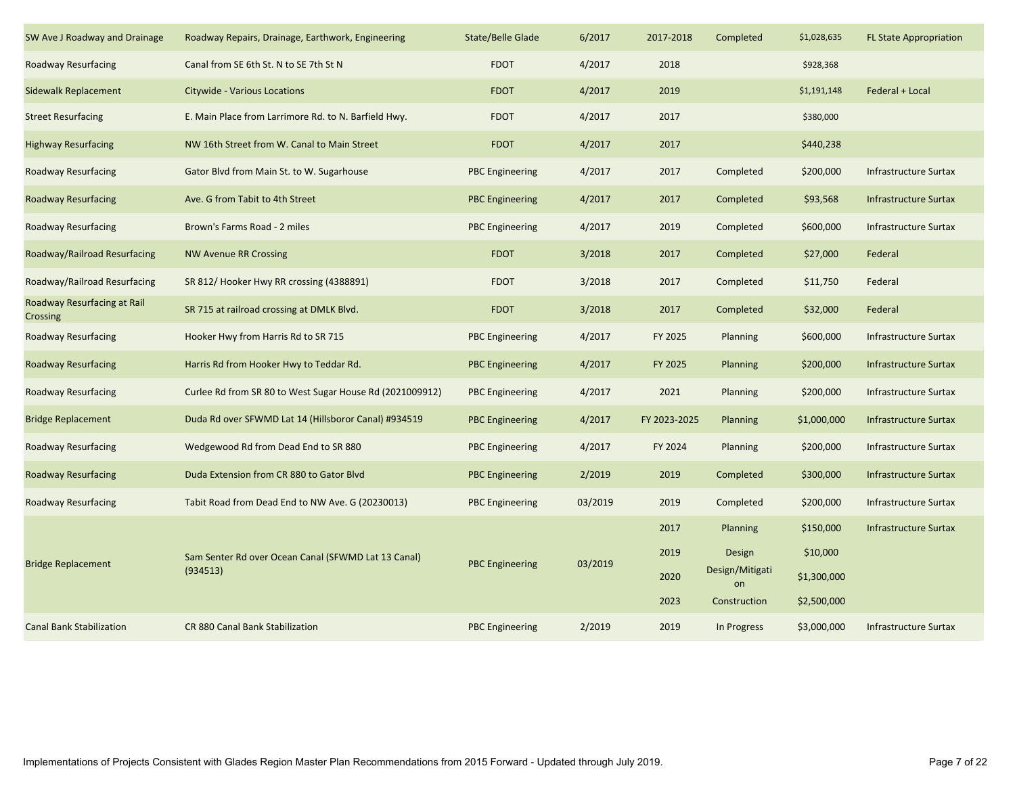| SW Ave J Roadway and Drainage           | Roadway Repairs, Drainage, Earthwork, Engineering        | State/Belle Glade      | 6/2017  | 2017-2018    | Completed             | \$1,028,635 | <b>FL State Appropriation</b> |
|-----------------------------------------|----------------------------------------------------------|------------------------|---------|--------------|-----------------------|-------------|-------------------------------|
| Roadway Resurfacing                     | Canal from SE 6th St. N to SE 7th St N                   | <b>FDOT</b>            | 4/2017  | 2018         |                       | \$928,368   |                               |
| Sidewalk Replacement                    | Citywide - Various Locations                             | <b>FDOT</b>            | 4/2017  | 2019         |                       | \$1,191,148 | Federal + Local               |
| <b>Street Resurfacing</b>               | E. Main Place from Larrimore Rd. to N. Barfield Hwy.     | <b>FDOT</b>            | 4/2017  | 2017         |                       | \$380,000   |                               |
| <b>Highway Resurfacing</b>              | NW 16th Street from W. Canal to Main Street              | <b>FDOT</b>            | 4/2017  | 2017         |                       | \$440,238   |                               |
| Roadway Resurfacing                     | Gator Blvd from Main St. to W. Sugarhouse                | <b>PBC</b> Engineering | 4/2017  | 2017         | Completed             | \$200,000   | Infrastructure Surtax         |
| <b>Roadway Resurfacing</b>              | Ave. G from Tabit to 4th Street                          | <b>PBC</b> Engineering | 4/2017  | 2017         | Completed             | \$93,568    | <b>Infrastructure Surtax</b>  |
| Roadway Resurfacing                     | Brown's Farms Road - 2 miles                             | <b>PBC</b> Engineering | 4/2017  | 2019         | Completed             | \$600,000   | <b>Infrastructure Surtax</b>  |
| Roadway/Railroad Resurfacing            | <b>NW Avenue RR Crossing</b>                             | <b>FDOT</b>            | 3/2018  | 2017         | Completed             | \$27,000    | Federal                       |
| Roadway/Railroad Resurfacing            | SR 812/Hooker Hwy RR crossing (4388891)                  | <b>FDOT</b>            | 3/2018  | 2017         | Completed             | \$11,750    | Federal                       |
| Roadway Resurfacing at Rail<br>Crossing | SR 715 at railroad crossing at DMLK Blvd.                | <b>FDOT</b>            | 3/2018  | 2017         | Completed             | \$32,000    | Federal                       |
| Roadway Resurfacing                     | Hooker Hwy from Harris Rd to SR 715                      | <b>PBC Engineering</b> | 4/2017  | FY 2025      | Planning              | \$600,000   | <b>Infrastructure Surtax</b>  |
| Roadway Resurfacing                     | Harris Rd from Hooker Hwy to Teddar Rd.                  | <b>PBC Engineering</b> | 4/2017  | FY 2025      | Planning              | \$200,000   | Infrastructure Surtax         |
| Roadway Resurfacing                     | Curlee Rd from SR 80 to West Sugar House Rd (2021009912) | <b>PBC</b> Engineering | 4/2017  | 2021         | Planning              | \$200,000   | <b>Infrastructure Surtax</b>  |
| <b>Bridge Replacement</b>               | Duda Rd over SFWMD Lat 14 (Hillsboror Canal) #934519     | <b>PBC Engineering</b> | 4/2017  | FY 2023-2025 | Planning              | \$1,000,000 | Infrastructure Surtax         |
| Roadway Resurfacing                     | Wedgewood Rd from Dead End to SR 880                     | <b>PBC</b> Engineering | 4/2017  | FY 2024      | Planning              | \$200,000   | <b>Infrastructure Surtax</b>  |
| Roadway Resurfacing                     | Duda Extension from CR 880 to Gator Blvd                 | <b>PBC Engineering</b> | 2/2019  | 2019         | Completed             | \$300,000   | <b>Infrastructure Surtax</b>  |
| Roadway Resurfacing                     | Tabit Road from Dead End to NW Ave. G (20230013)         | <b>PBC Engineering</b> | 03/2019 | 2019         | Completed             | \$200,000   | <b>Infrastructure Surtax</b>  |
|                                         |                                                          |                        |         | 2017         | Planning              | \$150,000   | <b>Infrastructure Surtax</b>  |
| <b>Bridge Replacement</b>               | Sam Senter Rd over Ocean Canal (SFWMD Lat 13 Canal)      | <b>PBC</b> Engineering | 03/2019 | 2019         | Design                | \$10,000    |                               |
|                                         | (934513)                                                 |                        |         | 2020         | Design/Mitigati<br>on | \$1,300,000 |                               |
|                                         |                                                          |                        |         | 2023         | Construction          | \$2,500,000 |                               |
| <b>Canal Bank Stabilization</b>         | <b>CR 880 Canal Bank Stabilization</b>                   | <b>PBC</b> Engineering | 2/2019  | 2019         | In Progress           | \$3,000,000 | <b>Infrastructure Surtax</b>  |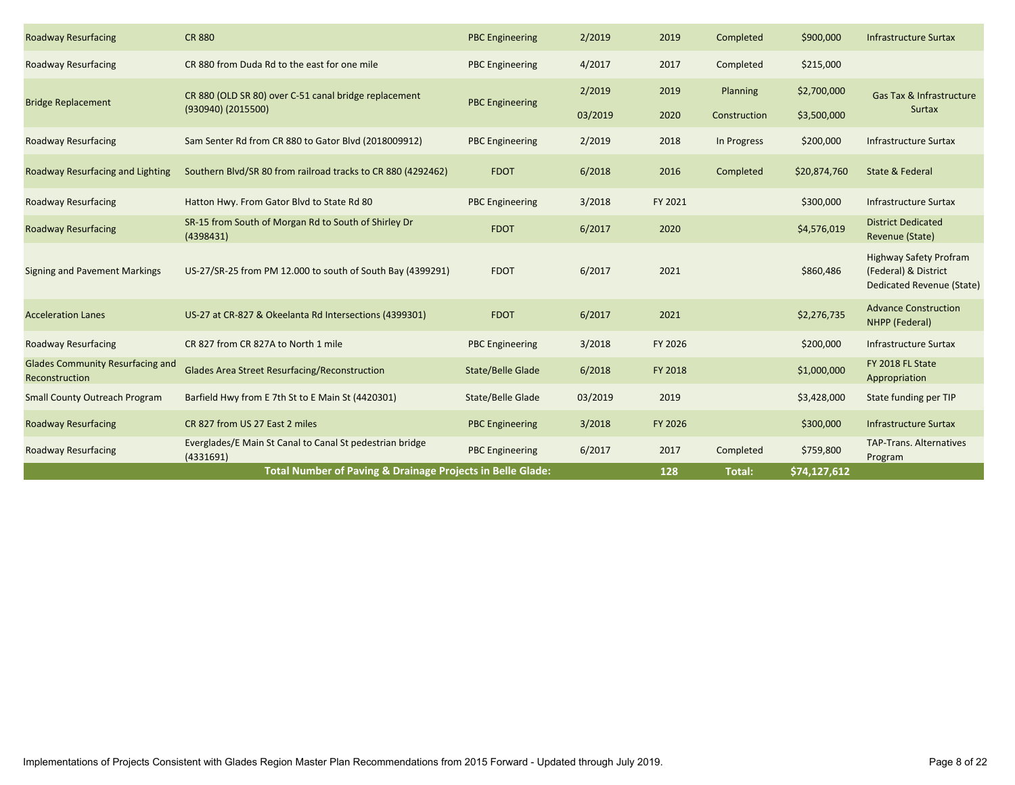| <b>Roadway Resurfacing</b>                                | <b>CR 880</b>                                                         | <b>PBC Engineering</b> | 2/2019  | 2019    | Completed     | \$900,000    | <b>Infrastructure Surtax</b>                                                              |
|-----------------------------------------------------------|-----------------------------------------------------------------------|------------------------|---------|---------|---------------|--------------|-------------------------------------------------------------------------------------------|
| <b>Roadway Resurfacing</b>                                | CR 880 from Duda Rd to the east for one mile                          | <b>PBC Engineering</b> | 4/2017  | 2017    | Completed     | \$215,000    |                                                                                           |
| <b>Bridge Replacement</b>                                 | CR 880 (OLD SR 80) over C-51 canal bridge replacement                 | <b>PBC Engineering</b> | 2/2019  | 2019    | Planning      | \$2,700,000  | Gas Tax & Infrastructure                                                                  |
|                                                           | (930940) (2015500)                                                    |                        | 03/2019 | 2020    | Construction  | \$3,500,000  | <b>Surtax</b>                                                                             |
| <b>Roadway Resurfacing</b>                                | Sam Senter Rd from CR 880 to Gator Blvd (2018009912)                  | <b>PBC</b> Engineering | 2/2019  | 2018    | In Progress   | \$200,000    | <b>Infrastructure Surtax</b>                                                              |
| Roadway Resurfacing and Lighting                          | Southern Blvd/SR 80 from railroad tracks to CR 880 (4292462)          | <b>FDOT</b>            | 6/2018  | 2016    | Completed     | \$20,874,760 | State & Federal                                                                           |
| <b>Roadway Resurfacing</b>                                | Hatton Hwy. From Gator Blvd to State Rd 80                            | <b>PBC</b> Engineering | 3/2018  | FY 2021 |               | \$300,000    | <b>Infrastructure Surtax</b>                                                              |
| <b>Roadway Resurfacing</b>                                | SR-15 from South of Morgan Rd to South of Shirley Dr<br>(4398431)     | <b>FDOT</b>            | 6/2017  | 2020    |               | \$4,576,019  | <b>District Dedicated</b><br>Revenue (State)                                              |
| <b>Signing and Pavement Markings</b>                      | US-27/SR-25 from PM 12.000 to south of South Bay (4399291)            | <b>FDOT</b>            | 6/2017  | 2021    |               | \$860,486    | <b>Highway Safety Profram</b><br>(Federal) & District<br><b>Dedicated Revenue (State)</b> |
| <b>Acceleration Lanes</b>                                 | US-27 at CR-827 & Okeelanta Rd Intersections (4399301)                | <b>FDOT</b>            | 6/2017  | 2021    |               | \$2,276,735  | <b>Advance Construction</b><br>NHPP (Federal)                                             |
| <b>Roadway Resurfacing</b>                                | CR 827 from CR 827A to North 1 mile                                   | <b>PBC Engineering</b> | 3/2018  | FY 2026 |               | \$200,000    | <b>Infrastructure Surtax</b>                                                              |
| <b>Glades Community Resurfacing and</b><br>Reconstruction | <b>Glades Area Street Resurfacing/Reconstruction</b>                  | State/Belle Glade      | 6/2018  | FY 2018 |               | \$1,000,000  | FY 2018 FL State<br>Appropriation                                                         |
| <b>Small County Outreach Program</b>                      | Barfield Hwy from E 7th St to E Main St (4420301)                     | State/Belle Glade      | 03/2019 | 2019    |               | \$3,428,000  | State funding per TIP                                                                     |
| <b>Roadway Resurfacing</b>                                | CR 827 from US 27 East 2 miles                                        | <b>PBC Engineering</b> | 3/2018  | FY 2026 |               | \$300,000    | <b>Infrastructure Surtax</b>                                                              |
| <b>Roadway Resurfacing</b>                                | Everglades/E Main St Canal to Canal St pedestrian bridge<br>(4331691) | <b>PBC Engineering</b> | 6/2017  | 2017    | Completed     | \$759,800    | <b>TAP-Trans. Alternatives</b><br>Program                                                 |
|                                                           | Total Number of Paving & Drainage Projects in Belle Glade:            |                        |         | 128     | <b>Total:</b> | \$74,127,612 |                                                                                           |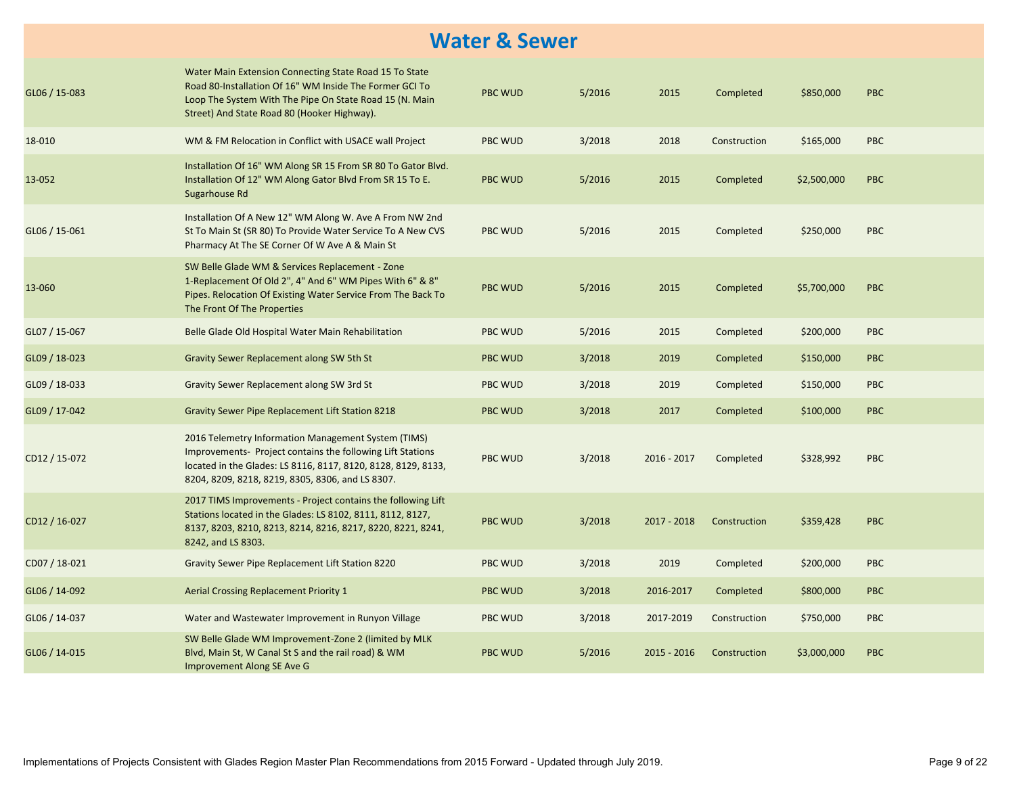#### **Water & Sewer**

| GL06 / 15-083 | Water Main Extension Connecting State Road 15 To State<br>Road 80-Installation Of 16" WM Inside The Former GCI To<br>Loop The System With The Pipe On State Road 15 (N. Main<br>Street) And State Road 80 (Hooker Highway).            | <b>PBC WUD</b> | 5/2016 | 2015          | Completed    | \$850,000   | <b>PBC</b> |
|---------------|----------------------------------------------------------------------------------------------------------------------------------------------------------------------------------------------------------------------------------------|----------------|--------|---------------|--------------|-------------|------------|
| 18-010        | WM & FM Relocation in Conflict with USACE wall Project                                                                                                                                                                                 | <b>PBC WUD</b> | 3/2018 | 2018          | Construction | \$165,000   | <b>PBC</b> |
| 13-052        | Installation Of 16" WM Along SR 15 From SR 80 To Gator Blvd.<br>Installation Of 12" WM Along Gator Blvd From SR 15 To E.<br>Sugarhouse Rd                                                                                              | <b>PBC WUD</b> | 5/2016 | 2015          | Completed    | \$2,500,000 | <b>PBC</b> |
| GL06 / 15-061 | Installation Of A New 12" WM Along W. Ave A From NW 2nd<br>St To Main St (SR 80) To Provide Water Service To A New CVS<br>Pharmacy At The SE Corner Of W Ave A & Main St                                                               | <b>PBC WUD</b> | 5/2016 | 2015          | Completed    | \$250,000   | <b>PBC</b> |
| 13-060        | SW Belle Glade WM & Services Replacement - Zone<br>1-Replacement Of Old 2", 4" And 6" WM Pipes With 6" & 8"<br>Pipes. Relocation Of Existing Water Service From The Back To<br>The Front Of The Properties                             | <b>PBC WUD</b> | 5/2016 | 2015          | Completed    | \$5,700,000 | <b>PBC</b> |
| GL07 / 15-067 | Belle Glade Old Hospital Water Main Rehabilitation                                                                                                                                                                                     | PBC WUD        | 5/2016 | 2015          | Completed    | \$200,000   | <b>PBC</b> |
| GL09 / 18-023 | Gravity Sewer Replacement along SW 5th St                                                                                                                                                                                              | <b>PBC WUD</b> | 3/2018 | 2019          | Completed    | \$150,000   | <b>PBC</b> |
| GL09 / 18-033 | Gravity Sewer Replacement along SW 3rd St                                                                                                                                                                                              | PBC WUD        | 3/2018 | 2019          | Completed    | \$150,000   | <b>PBC</b> |
| GL09 / 17-042 | Gravity Sewer Pipe Replacement Lift Station 8218                                                                                                                                                                                       | <b>PBC WUD</b> | 3/2018 | 2017          | Completed    | \$100,000   | <b>PBC</b> |
| CD12 / 15-072 | 2016 Telemetry Information Management System (TIMS)<br>Improvements- Project contains the following Lift Stations<br>located in the Glades: LS 8116, 8117, 8120, 8128, 8129, 8133,<br>8204, 8209, 8218, 8219, 8305, 8306, and LS 8307. | <b>PBC WUD</b> | 3/2018 | $2016 - 2017$ | Completed    | \$328,992   | <b>PBC</b> |
| CD12 / 16-027 | 2017 TIMS Improvements - Project contains the following Lift<br>Stations located in the Glades: LS 8102, 8111, 8112, 8127,<br>8137, 8203, 8210, 8213, 8214, 8216, 8217, 8220, 8221, 8241,<br>8242, and LS 8303.                        | <b>PBC WUD</b> | 3/2018 | $2017 - 2018$ | Construction | \$359,428   | <b>PBC</b> |
| CD07 / 18-021 | Gravity Sewer Pipe Replacement Lift Station 8220                                                                                                                                                                                       | <b>PBC WUD</b> | 3/2018 | 2019          | Completed    | \$200,000   | <b>PBC</b> |
| GL06 / 14-092 | <b>Aerial Crossing Replacement Priority 1</b>                                                                                                                                                                                          | <b>PBC WUD</b> | 3/2018 | 2016-2017     | Completed    | \$800,000   | <b>PBC</b> |
| GL06 / 14-037 | Water and Wastewater Improvement in Runyon Village                                                                                                                                                                                     | PBC WUD        | 3/2018 | 2017-2019     | Construction | \$750,000   | <b>PBC</b> |
| GL06 / 14-015 | SW Belle Glade WM Improvement-Zone 2 (limited by MLK<br>Blvd, Main St, W Canal St S and the rail road) & WM<br>Improvement Along SE Ave G                                                                                              | <b>PBC WUD</b> | 5/2016 | $2015 - 2016$ | Construction | \$3,000,000 | <b>PBC</b> |
|               |                                                                                                                                                                                                                                        |                |        |               |              |             |            |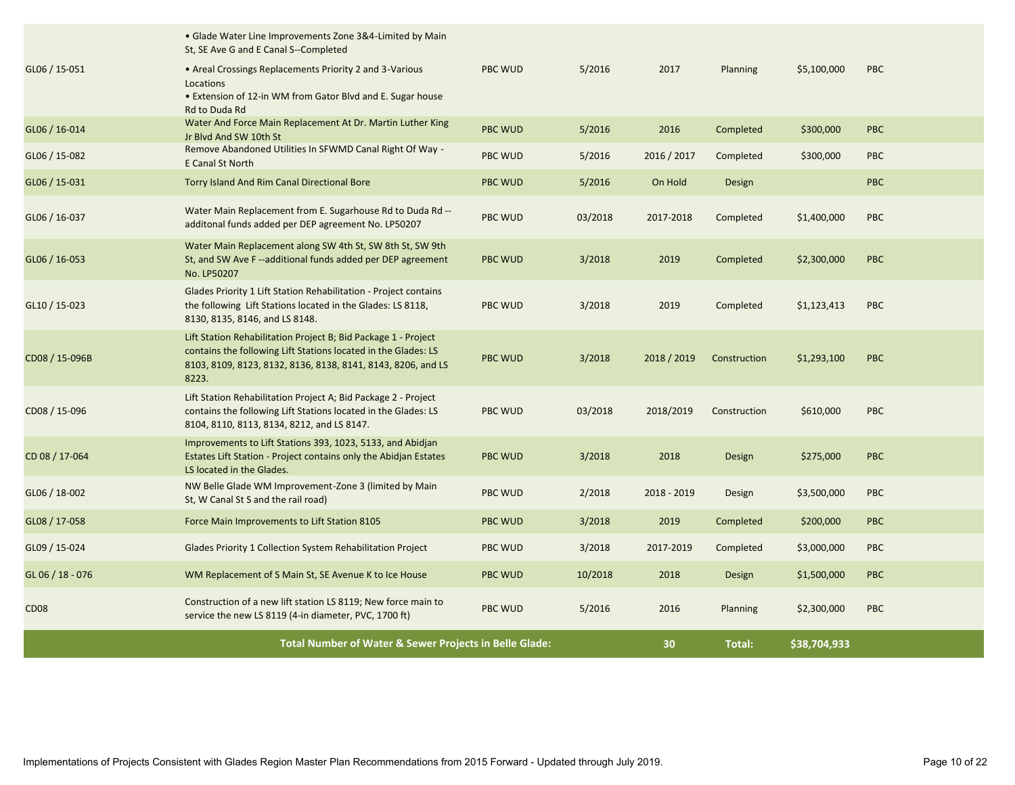|                  | • Glade Water Line Improvements Zone 3&4-Limited by Main<br>St, SE Ave G and E Canal S--Completed                                                                                                         |                                                        |         |             |                 |             |            |
|------------------|-----------------------------------------------------------------------------------------------------------------------------------------------------------------------------------------------------------|--------------------------------------------------------|---------|-------------|-----------------|-------------|------------|
| GL06 / 15-051    | • Areal Crossings Replacements Priority 2 and 3-Various<br>Locations<br>• Extension of 12-in WM from Gator Blvd and E. Sugar house<br>Rd to Duda Rd                                                       | <b>PBC WUD</b>                                         | 5/2016  | 2017        | Planning        | \$5,100,000 | PBC        |
| GL06 / 16-014    | Water And Force Main Replacement At Dr. Martin Luther King<br>Jr Blyd And SW 10th St                                                                                                                      | <b>PBC WUD</b>                                         | 5/2016  | 2016        | Completed       | \$300,000   | <b>PBC</b> |
| GL06 / 15-082    | Remove Abandoned Utilities In SFWMD Canal Right Of Way -<br>E Canal St North                                                                                                                              | <b>PBC WUD</b>                                         | 5/2016  | 2016 / 2017 | Completed       | \$300,000   | <b>PBC</b> |
| GL06 / 15-031    | Torry Island And Rim Canal Directional Bore                                                                                                                                                               | <b>PBC WUD</b>                                         | 5/2016  | On Hold     | Design          |             | <b>PBC</b> |
| GL06 / 16-037    | Water Main Replacement from E. Sugarhouse Rd to Duda Rd --<br>additonal funds added per DEP agreement No. LP50207                                                                                         | <b>PBC WUD</b>                                         | 03/2018 | 2017-2018   | Completed       | \$1,400,000 | <b>PBC</b> |
| GL06 / 16-053    | Water Main Replacement along SW 4th St, SW 8th St, SW 9th<br>St, and SW Ave F--additional funds added per DEP agreement<br>No. LP50207                                                                    | <b>PBC WUD</b>                                         | 3/2018  | 2019        | Completed       | \$2,300,000 | <b>PBC</b> |
| GL10 / 15-023    | Glades Priority 1 Lift Station Rehabilitation - Project contains<br>the following Lift Stations located in the Glades: LS 8118,<br>8130, 8135, 8146, and LS 8148.                                         | <b>PBC WUD</b>                                         | 3/2018  | 2019        | Completed       | \$1,123,413 | PBC        |
| CD08 / 15-096B   | Lift Station Rehabilitation Project B; Bid Package 1 - Project<br>contains the following Lift Stations located in the Glades: LS<br>8103, 8109, 8123, 8132, 8136, 8138, 8141, 8143, 8206, and LS<br>8223. | <b>PBC WUD</b>                                         | 3/2018  | 2018 / 2019 | Construction    | \$1,293,100 | <b>PBC</b> |
| CD08 / 15-096    | Lift Station Rehabilitation Project A; Bid Package 2 - Project<br>contains the following Lift Stations located in the Glades: LS<br>8104, 8110, 8113, 8134, 8212, and LS 8147.                            | <b>PBC WUD</b>                                         | 03/2018 | 2018/2019   | Construction    | \$610,000   | <b>PBC</b> |
| CD 08 / 17-064   | Improvements to Lift Stations 393, 1023, 5133, and Abidjan<br>Estates Lift Station - Project contains only the Abidjan Estates<br>LS located in the Glades.                                               | <b>PBC WUD</b>                                         | 3/2018  | 2018        | Design          | \$275,000   | <b>PBC</b> |
| GL06 / 18-002    | NW Belle Glade WM Improvement-Zone 3 (limited by Main<br>St, W Canal St S and the rail road)                                                                                                              | <b>PBC WUD</b>                                         | 2/2018  | 2018 - 2019 | Design          | \$3,500,000 | PBC        |
| GL08 / 17-058    | Force Main Improvements to Lift Station 8105                                                                                                                                                              | <b>PBC WUD</b>                                         | 3/2018  | 2019        | Completed       | \$200,000   | <b>PBC</b> |
| GL09 / 15-024    | Glades Priority 1 Collection System Rehabilitation Project                                                                                                                                                | <b>PBC WUD</b>                                         | 3/2018  | 2017-2019   | Completed       | \$3,000,000 | PBC        |
| GL 06 / 18 - 076 | WM Replacement of S Main St, SE Avenue K to Ice House                                                                                                                                                     | <b>PBC WUD</b>                                         | 10/2018 | 2018        | Design          | \$1,500,000 | PBC        |
| <b>CD08</b>      | Construction of a new lift station LS 8119; New force main to<br>service the new LS 8119 (4-in diameter, PVC, 1700 ft)                                                                                    | <b>PBC WUD</b>                                         | 5/2016  | 2016        | <b>Planning</b> | \$2,300,000 | <b>PBC</b> |
|                  |                                                                                                                                                                                                           | Total Number of Water & Sewer Projects in Belle Glade: |         |             |                 |             |            |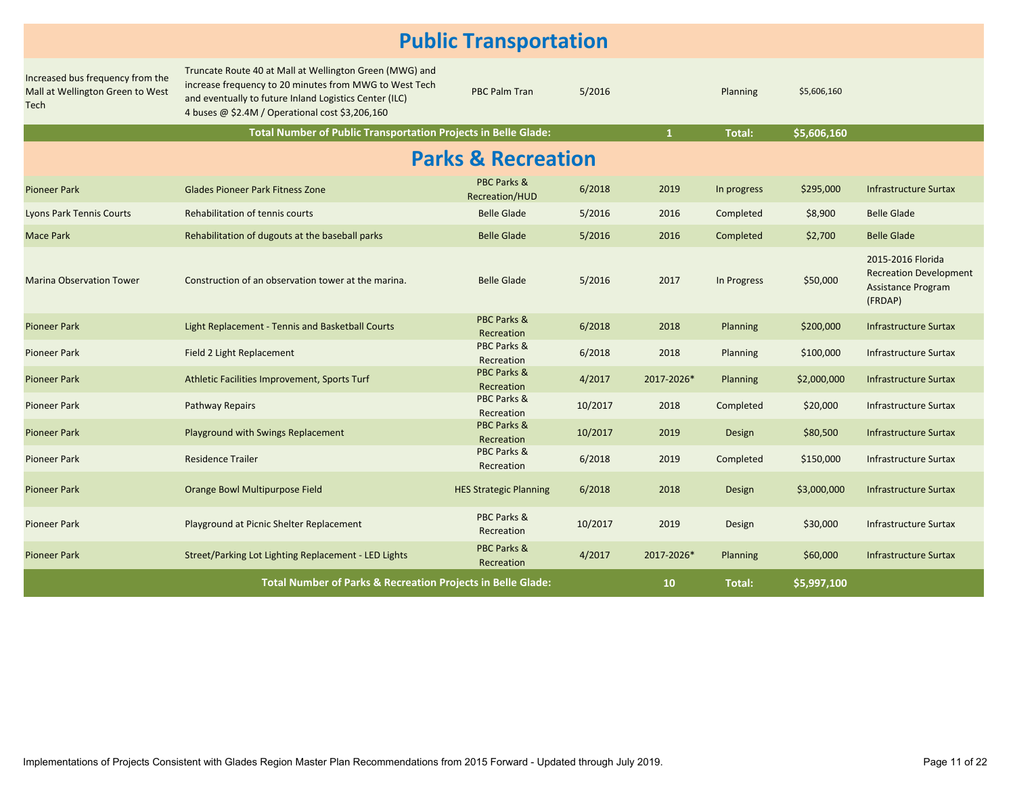#### **Public Transportation**

| Increased bus frequency from the<br>Mall at Wellington Green to West<br>Tech | Truncate Route 40 at Mall at Wellington Green (MWG) and<br>increase frequency to 20 minutes from MWG to West Tech<br>and eventually to future Inland Logistics Center (ILC)<br>4 buses @ \$2.4M / Operational cost \$3,206,160 | <b>PBC Palm Tran</b>                 | 5/2016  |              | Planning    | \$5,606,160 |                                                                                     |  |  |
|------------------------------------------------------------------------------|--------------------------------------------------------------------------------------------------------------------------------------------------------------------------------------------------------------------------------|--------------------------------------|---------|--------------|-------------|-------------|-------------------------------------------------------------------------------------|--|--|
|                                                                              | Total Number of Public Transportation Projects in Belle Glade:                                                                                                                                                                 |                                      |         | $\mathbf{1}$ | Total:      | \$5,606,160 |                                                                                     |  |  |
| <b>Parks &amp; Recreation</b>                                                |                                                                                                                                                                                                                                |                                      |         |              |             |             |                                                                                     |  |  |
| <b>Pioneer Park</b>                                                          | <b>Glades Pioneer Park Fitness Zone</b>                                                                                                                                                                                        | PBC Parks &<br>Recreation/HUD        | 6/2018  | 2019         | In progress | \$295,000   | Infrastructure Surtax                                                               |  |  |
| <b>Lyons Park Tennis Courts</b>                                              | Rehabilitation of tennis courts                                                                                                                                                                                                | <b>Belle Glade</b>                   | 5/2016  | 2016         | Completed   | \$8,900     | <b>Belle Glade</b>                                                                  |  |  |
| Mace Park                                                                    | Rehabilitation of dugouts at the baseball parks                                                                                                                                                                                | <b>Belle Glade</b>                   | 5/2016  | 2016         | Completed   | \$2,700     | <b>Belle Glade</b>                                                                  |  |  |
| <b>Marina Observation Tower</b>                                              | Construction of an observation tower at the marina.                                                                                                                                                                            | <b>Belle Glade</b>                   | 5/2016  | 2017         | In Progress | \$50,000    | 2015-2016 Florida<br><b>Recreation Development</b><br>Assistance Program<br>(FRDAP) |  |  |
| <b>Pioneer Park</b>                                                          | Light Replacement - Tennis and Basketball Courts                                                                                                                                                                               | PBC Parks &<br>Recreation            | 6/2018  | 2018         | Planning    | \$200,000   | <b>Infrastructure Surtax</b>                                                        |  |  |
| Pioneer Park                                                                 | Field 2 Light Replacement                                                                                                                                                                                                      | PBC Parks &<br>Recreation            | 6/2018  | 2018         | Planning    | \$100,000   | Infrastructure Surtax                                                               |  |  |
| Pioneer Park                                                                 | Athletic Facilities Improvement, Sports Turf                                                                                                                                                                                   | <b>PBC Parks &amp;</b><br>Recreation | 4/2017  | 2017-2026*   | Planning    | \$2,000,000 | <b>Infrastructure Surtax</b>                                                        |  |  |
| Pioneer Park                                                                 | Pathway Repairs                                                                                                                                                                                                                | PBC Parks &<br>Recreation            | 10/2017 | 2018         | Completed   | \$20,000    | <b>Infrastructure Surtax</b>                                                        |  |  |
| <b>Pioneer Park</b>                                                          | Playground with Swings Replacement                                                                                                                                                                                             | PBC Parks &<br>Recreation            | 10/2017 | 2019         | Design      | \$80,500    | <b>Infrastructure Surtax</b>                                                        |  |  |
| <b>Pioneer Park</b>                                                          | <b>Residence Trailer</b>                                                                                                                                                                                                       | PBC Parks &<br>Recreation            | 6/2018  | 2019         | Completed   | \$150,000   | <b>Infrastructure Surtax</b>                                                        |  |  |
| Pioneer Park                                                                 | Orange Bowl Multipurpose Field                                                                                                                                                                                                 | <b>HES Strategic Planning</b>        | 6/2018  | 2018         | Design      | \$3,000,000 | <b>Infrastructure Surtax</b>                                                        |  |  |
| Pioneer Park                                                                 | Playground at Picnic Shelter Replacement                                                                                                                                                                                       | PBC Parks &<br>Recreation            | 10/2017 | 2019         | Design      | \$30,000    | Infrastructure Surtax                                                               |  |  |
| <b>Pioneer Park</b>                                                          | Street/Parking Lot Lighting Replacement - LED Lights                                                                                                                                                                           | PBC Parks &<br>Recreation            | 4/2017  | 2017-2026*   | Planning    | \$60,000    | <b>Infrastructure Surtax</b>                                                        |  |  |
|                                                                              | <b>Total Number of Parks &amp; Recreation Projects in Belle Glade:</b>                                                                                                                                                         |                                      |         | 10           | Total:      | \$5,997,100 |                                                                                     |  |  |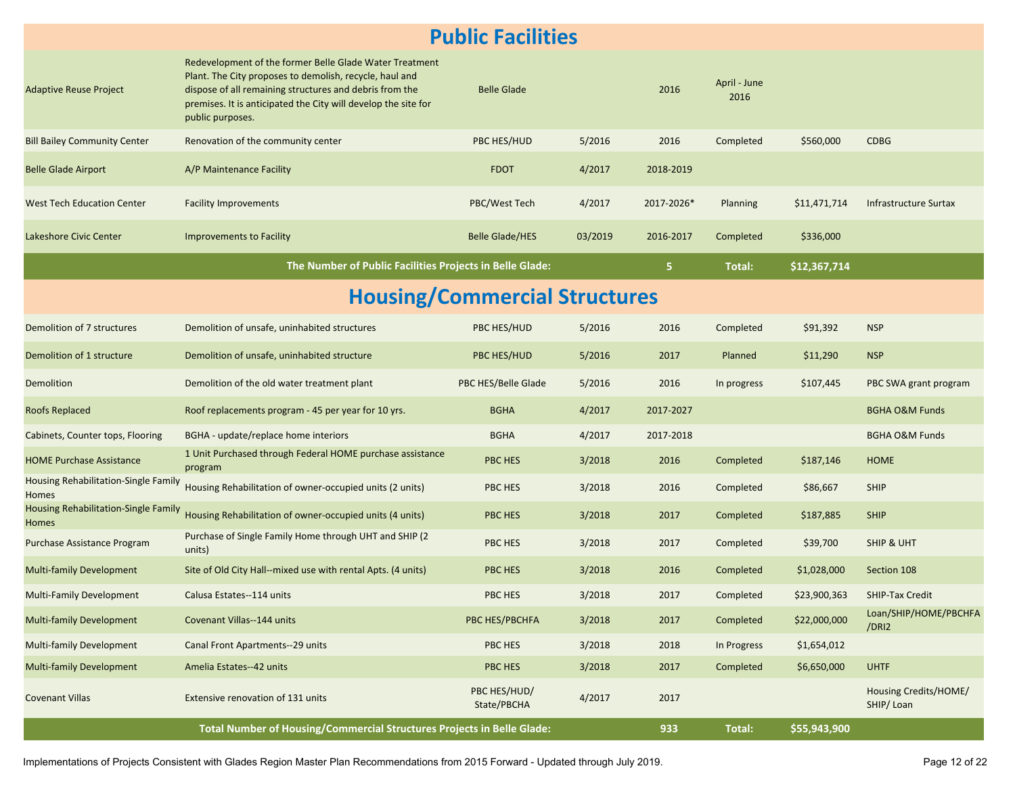#### **Public Facilities**

| <b>Adaptive Reuse Project</b>                 | Redevelopment of the former Belle Glade Water Treatment<br>Plant. The City proposes to demolish, recycle, haul and<br>dispose of all remaining structures and debris from the<br>premises. It is anticipated the City will develop the site for<br>public purposes. | <b>Belle Glade</b>          |         | 2016       | April - June<br>2016 |              |                                    |  |  |  |
|-----------------------------------------------|---------------------------------------------------------------------------------------------------------------------------------------------------------------------------------------------------------------------------------------------------------------------|-----------------------------|---------|------------|----------------------|--------------|------------------------------------|--|--|--|
| <b>Bill Bailey Community Center</b>           | Renovation of the community center                                                                                                                                                                                                                                  | PBC HES/HUD                 | 5/2016  | 2016       | Completed            | \$560,000    | <b>CDBG</b>                        |  |  |  |
| <b>Belle Glade Airport</b>                    | A/P Maintenance Facility                                                                                                                                                                                                                                            | <b>FDOT</b>                 | 4/2017  | 2018-2019  |                      |              |                                    |  |  |  |
| <b>West Tech Education Center</b>             | <b>Facility Improvements</b>                                                                                                                                                                                                                                        | PBC/West Tech               | 4/2017  | 2017-2026* | <b>Planning</b>      | \$11,471,714 | <b>Infrastructure Surtax</b>       |  |  |  |
| Lakeshore Civic Center                        | Improvements to Facility                                                                                                                                                                                                                                            | <b>Belle Glade/HES</b>      | 03/2019 | 2016-2017  | Completed            | \$336,000    |                                    |  |  |  |
|                                               | The Number of Public Facilities Projects in Belle Glade:                                                                                                                                                                                                            |                             |         | 5.         | Total:               | \$12,367,714 |                                    |  |  |  |
| <b>Housing/Commercial Structures</b>          |                                                                                                                                                                                                                                                                     |                             |         |            |                      |              |                                    |  |  |  |
| Demolition of 7 structures                    | Demolition of unsafe, uninhabited structures                                                                                                                                                                                                                        | PBC HES/HUD                 | 5/2016  | 2016       | Completed            | \$91,392     | <b>NSP</b>                         |  |  |  |
| Demolition of 1 structure                     | Demolition of unsafe, uninhabited structure                                                                                                                                                                                                                         | PBC HES/HUD                 | 5/2016  | 2017       | Planned              | \$11,290     | <b>NSP</b>                         |  |  |  |
| Demolition                                    | Demolition of the old water treatment plant                                                                                                                                                                                                                         | PBC HES/Belle Glade         | 5/2016  | 2016       | In progress          | \$107,445    | PBC SWA grant program              |  |  |  |
| Roofs Replaced                                | Roof replacements program - 45 per year for 10 yrs.                                                                                                                                                                                                                 | <b>BGHA</b>                 | 4/2017  | 2017-2027  |                      |              | <b>BGHA O&amp;M Funds</b>          |  |  |  |
| Cabinets, Counter tops, Flooring              | BGHA - update/replace home interiors                                                                                                                                                                                                                                | <b>BGHA</b>                 | 4/2017  | 2017-2018  |                      |              | <b>BGHA O&amp;M Funds</b>          |  |  |  |
| <b>HOME Purchase Assistance</b>               | 1 Unit Purchased through Federal HOME purchase assistance<br>program                                                                                                                                                                                                | <b>PBC HES</b>              | 3/2018  | 2016       | Completed            | \$187,146    | <b>HOME</b>                        |  |  |  |
| Housing Rehabilitation-Single Family<br>Homes | Housing Rehabilitation of owner-occupied units (2 units)                                                                                                                                                                                                            | PBC HES                     | 3/2018  | 2016       | Completed            | \$86,667     | <b>SHIP</b>                        |  |  |  |
| Housing Rehabilitation-Single Family<br>Homes | Housing Rehabilitation of owner-occupied units (4 units)                                                                                                                                                                                                            | PBC HES                     | 3/2018  | 2017       | Completed            | \$187,885    | <b>SHIP</b>                        |  |  |  |
| Purchase Assistance Program                   | Purchase of Single Family Home through UHT and SHIP (2)<br>units)                                                                                                                                                                                                   | PBC HES                     | 3/2018  | 2017       | Completed            | \$39,700     | <b>SHIP &amp; UHT</b>              |  |  |  |
| <b>Multi-family Development</b>               | Site of Old City Hall--mixed use with rental Apts. (4 units)                                                                                                                                                                                                        | <b>PBC HES</b>              | 3/2018  | 2016       | Completed            | \$1,028,000  | Section 108                        |  |  |  |
| Multi-Family Development                      | Calusa Estates--114 units                                                                                                                                                                                                                                           | PBC HES                     | 3/2018  | 2017       | Completed            | \$23,900,363 | <b>SHIP-Tax Credit</b>             |  |  |  |
| <b>Multi-family Development</b>               | Covenant Villas--144 units                                                                                                                                                                                                                                          | PBC HES/PBCHFA              | 3/2018  | 2017       | Completed            | \$22,000,000 | Loan/SHIP/HOME/PBCHFA<br>/DRI2     |  |  |  |
| <b>Multi-family Development</b>               | Canal Front Apartments--29 units                                                                                                                                                                                                                                    | PBC HES                     | 3/2018  | 2018       | In Progress          | \$1,654,012  |                                    |  |  |  |
| <b>Multi-family Development</b>               | Amelia Estates--42 units                                                                                                                                                                                                                                            | PBC HES                     | 3/2018  | 2017       | Completed            | \$6,650,000  | <b>UHTF</b>                        |  |  |  |
| <b>Covenant Villas</b>                        | Extensive renovation of 131 units                                                                                                                                                                                                                                   | PBC HES/HUD/<br>State/PBCHA | 4/2017  | 2017       |                      |              | Housing Credits/HOME/<br>SHIP/Loan |  |  |  |
|                                               | Total Number of Housing/Commercial Structures Projects in Belle Glade:                                                                                                                                                                                              |                             |         | 933        | <b>Total:</b>        | \$55,943,900 |                                    |  |  |  |

Implementations of Projects Consistent with Glades Region Master Plan Recommendations from 2015 Forward - Updated through July 2019.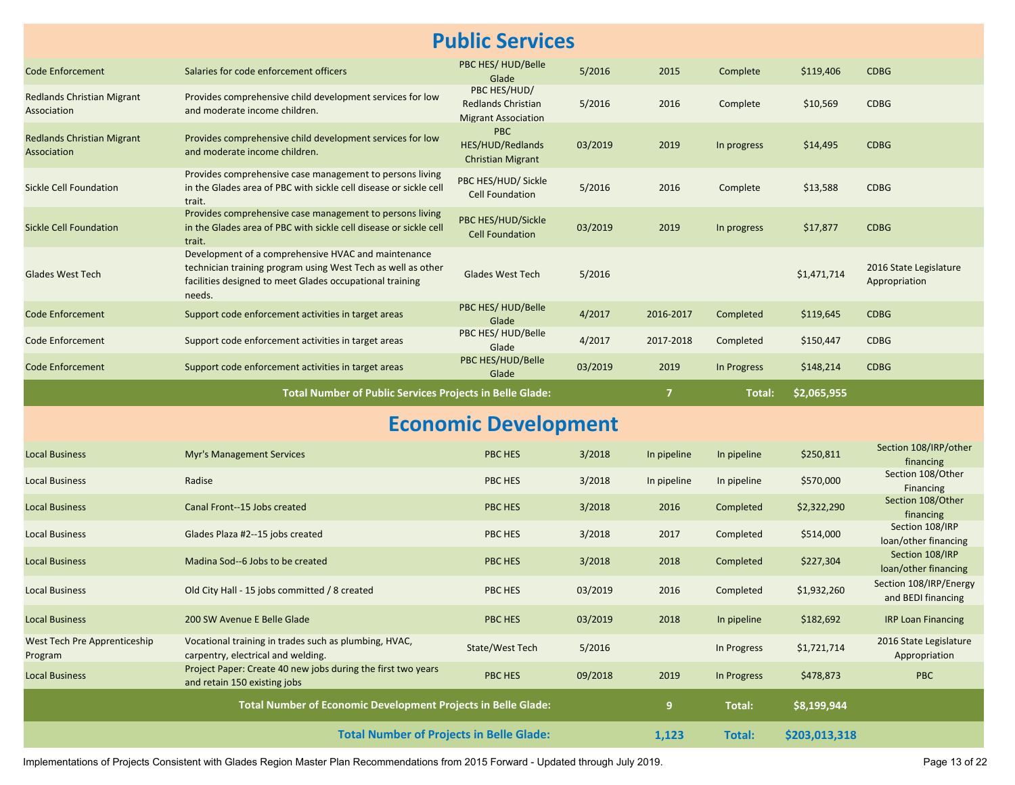#### **Public Services**

| <b>Code Enforcement</b>                          | Salaries for code enforcement officers                                                                                                                                                    | PBC HES/HUD/Belle<br>Glade                                              | 5/2016  | 2015           | Complete    | \$119,406   | <b>CDBG</b>                                  |
|--------------------------------------------------|-------------------------------------------------------------------------------------------------------------------------------------------------------------------------------------------|-------------------------------------------------------------------------|---------|----------------|-------------|-------------|----------------------------------------------|
| <b>Redlands Christian Migrant</b><br>Association | Provides comprehensive child development services for low<br>and moderate income children.                                                                                                | PBC HES/HUD/<br><b>Redlands Christian</b><br><b>Migrant Association</b> | 5/2016  | 2016           | Complete    | \$10,569    | <b>CDBG</b>                                  |
| <b>Redlands Christian Migrant</b><br>Association | Provides comprehensive child development services for low<br>and moderate income children.                                                                                                | <b>PBC</b><br>HES/HUD/Redlands<br><b>Christian Migrant</b>              | 03/2019 | 2019           | In progress | \$14,495    | <b>CDBG</b>                                  |
| Sickle Cell Foundation                           | Provides comprehensive case management to persons living<br>in the Glades area of PBC with sickle cell disease or sickle cell<br>trait.                                                   | PBC HES/HUD/ Sickle<br><b>Cell Foundation</b>                           | 5/2016  | 2016           | Complete    | \$13,588    | <b>CDBG</b>                                  |
| <b>Sickle Cell Foundation</b>                    | Provides comprehensive case management to persons living<br>in the Glades area of PBC with sickle cell disease or sickle cell<br>trait.                                                   | PBC HES/HUD/Sickle<br><b>Cell Foundation</b>                            | 03/2019 | 2019           | In progress | \$17,877    | <b>CDBG</b>                                  |
| <b>Glades West Tech</b>                          | Development of a comprehensive HVAC and maintenance<br>technician training program using West Tech as well as other<br>facilities designed to meet Glades occupational training<br>needs. | Glades West Tech                                                        | 5/2016  |                |             | \$1,471,714 | 2016 State Legislature<br>Appropriation      |
| <b>Code Enforcement</b>                          | Support code enforcement activities in target areas                                                                                                                                       | PBC HES/HUD/Belle<br>Glade                                              | 4/2017  | 2016-2017      | Completed   | \$119,645   | <b>CDBG</b>                                  |
| Code Enforcement                                 | Support code enforcement activities in target areas                                                                                                                                       | PBC HES/HUD/Belle<br>Glade                                              | 4/2017  | 2017-2018      | Completed   | \$150,447   | <b>CDBG</b>                                  |
| Code Enforcement                                 | Support code enforcement activities in target areas                                                                                                                                       | PBC HES/HUD/Belle<br>Glade                                              | 03/2019 | 2019           | In Progress | \$148,214   | <b>CDBG</b>                                  |
|                                                  |                                                                                                                                                                                           |                                                                         |         | $\overline{7}$ | Total:      | \$2,065,955 |                                              |
|                                                  | <b>Total Number of Public Services Projects in Belle Glade:</b>                                                                                                                           |                                                                         |         |                |             |             |                                              |
|                                                  |                                                                                                                                                                                           | <b>Economic Development</b>                                             |         |                |             |             |                                              |
| <b>Local Business</b>                            | <b>Myr's Management Services</b>                                                                                                                                                          | <b>PBC HES</b>                                                          | 3/2018  | In pipeline    | In pipeline | \$250,811   | Section 108/IRP/other<br>financing           |
| <b>Local Business</b>                            | Radise                                                                                                                                                                                    | PBC HES                                                                 | 3/2018  | In pipeline    | In pipeline | \$570,000   | Section 108/Other<br>Financing               |
| <b>Local Business</b>                            | Canal Front--15 Jobs created                                                                                                                                                              | PBC HES                                                                 | 3/2018  | 2016           | Completed   | \$2,322,290 | Section 108/Other<br>financing               |
| <b>Local Business</b>                            | Glades Plaza #2--15 jobs created                                                                                                                                                          | PBC HES                                                                 | 3/2018  | 2017           | Completed   | \$514,000   | Section 108/IRP<br>loan/other financing      |
| <b>Local Business</b>                            | Madina Sod--6 Jobs to be created                                                                                                                                                          | PBC HES                                                                 | 3/2018  | 2018           | Completed   | \$227,304   | Section 108/IRP<br>loan/other financing      |
| <b>Local Business</b>                            | Old City Hall - 15 jobs committed / 8 created                                                                                                                                             | PBC HES                                                                 | 03/2019 | 2016           | Completed   | \$1,932,260 | Section 108/IRP/Energy<br>and BEDI financing |
| <b>Local Business</b>                            | 200 SW Avenue E Belle Glade                                                                                                                                                               | <b>PBC HES</b>                                                          | 03/2019 | 2018           | In pipeline | \$182,692   | <b>IRP Loan Financing</b>                    |
| West Tech Pre Apprenticeship<br>Program          | Vocational training in trades such as plumbing, HVAC,<br>carpentry, electrical and welding.                                                                                               | State/West Tech                                                         | 5/2016  |                | In Progress | \$1,721,714 | 2016 State Legislature<br>Appropriation      |
| <b>Local Business</b>                            | Project Paper: Create 40 new jobs during the first two years<br>and retain 150 existing jobs                                                                                              | PBC HES                                                                 | 09/2018 | 2019           | In Progress | \$478,873   | <b>PBC</b>                                   |
|                                                  | Total Number of Economic Development Projects in Belle Glade:                                                                                                                             |                                                                         |         | 9              | Total:      | \$8,199,944 |                                              |

Implementations of Projects Consistent with Glades Region Master Plan Recommendations from 2015 Forward - Updated through July 2019.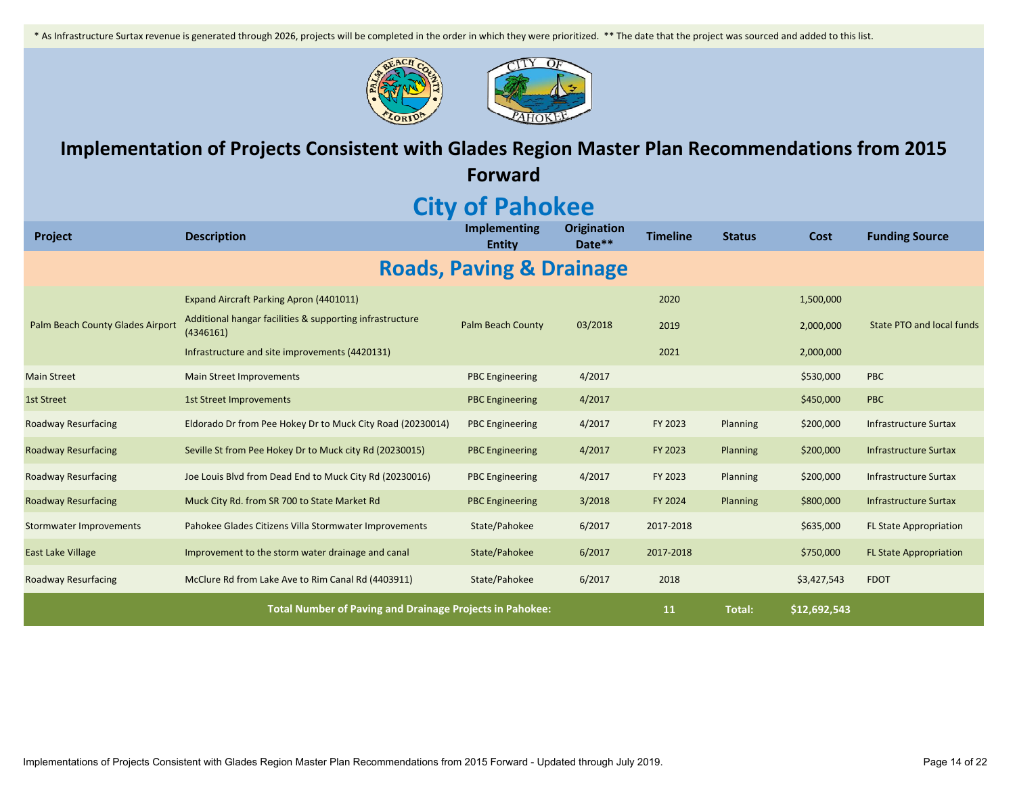\* As Infrastructure Surtax revenue is generated through 2026, projects will be completed in the order in which they were prioritized. \*\* The date that the project was sourced and added to this list.





### **Implementation of Projects Consistent with Glades Region Master Plan Recommendations from 2015**

**Forward**

## **City of Pahokee**

| <b>Project</b>                   | <b>Description</b>                                                    | Implementing<br><b>Entity</b>       | <b>Origination</b><br>Date** | <b>Timeline</b> | <b>Status</b> | Cost        | <b>Funding Source</b>            |
|----------------------------------|-----------------------------------------------------------------------|-------------------------------------|------------------------------|-----------------|---------------|-------------|----------------------------------|
|                                  |                                                                       | <b>Roads, Paving &amp; Drainage</b> |                              |                 |               |             |                                  |
|                                  | Expand Aircraft Parking Apron (4401011)                               |                                     |                              | 2020            |               | 1,500,000   |                                  |
| Palm Beach County Glades Airport | Additional hangar facilities & supporting infrastructure<br>(4346161) | <b>Palm Beach County</b>            | 03/2018                      | 2019            |               | 2,000,000   | <b>State PTO and local funds</b> |
|                                  | Infrastructure and site improvements (4420131)                        |                                     |                              | 2021            |               | 2,000,000   |                                  |
| <b>Main Street</b>               | <b>Main Street Improvements</b>                                       | <b>PBC</b> Engineering              | 4/2017                       |                 |               | \$530,000   | <b>PBC</b>                       |
| <b>1st Street</b>                | <b>1st Street Improvements</b>                                        | <b>PBC Engineering</b>              | 4/2017                       |                 |               | \$450,000   | <b>PBC</b>                       |
| Roadway Resurfacing              | Eldorado Dr from Pee Hokey Dr to Muck City Road (20230014)            | <b>PBC</b> Engineering              | 4/2017                       | FY 2023         | Planning      | \$200,000   | Infrastructure Surtax            |
| <b>Roadway Resurfacing</b>       | Seville St from Pee Hokey Dr to Muck city Rd (20230015)               | <b>PBC</b> Engineering              | 4/2017                       | FY 2023         | Planning      | \$200,000   | Infrastructure Surtax            |
| <b>Roadway Resurfacing</b>       | Joe Louis Blvd from Dead End to Muck City Rd (20230016)               | <b>PBC</b> Engineering              | 4/2017                       | FY 2023         | Planning      | \$200,000   | Infrastructure Surtax            |
| Roadway Resurfacing              | Muck City Rd. from SR 700 to State Market Rd                          | <b>PBC Engineering</b>              | 3/2018                       | FY 2024         | Planning      | \$800,000   | Infrastructure Surtax            |
| <b>Stormwater Improvements</b>   | Pahokee Glades Citizens Villa Stormwater Improvements                 | State/Pahokee                       | 6/2017                       | 2017-2018       |               | \$635,000   | <b>FL State Appropriation</b>    |
| East Lake Village                | Improvement to the storm water drainage and canal                     | State/Pahokee                       | 6/2017                       | 2017-2018       |               | \$750,000   | <b>FL State Appropriation</b>    |
| <b>Roadway Resurfacing</b>       | McClure Rd from Lake Ave to Rim Canal Rd (4403911)                    | State/Pahokee                       | 6/2017                       | 2018            |               | \$3,427,543 | <b>FDOT</b>                      |
|                                  | 11                                                                    | <b>Total:</b>                       | \$12,692,543                 |                 |               |             |                                  |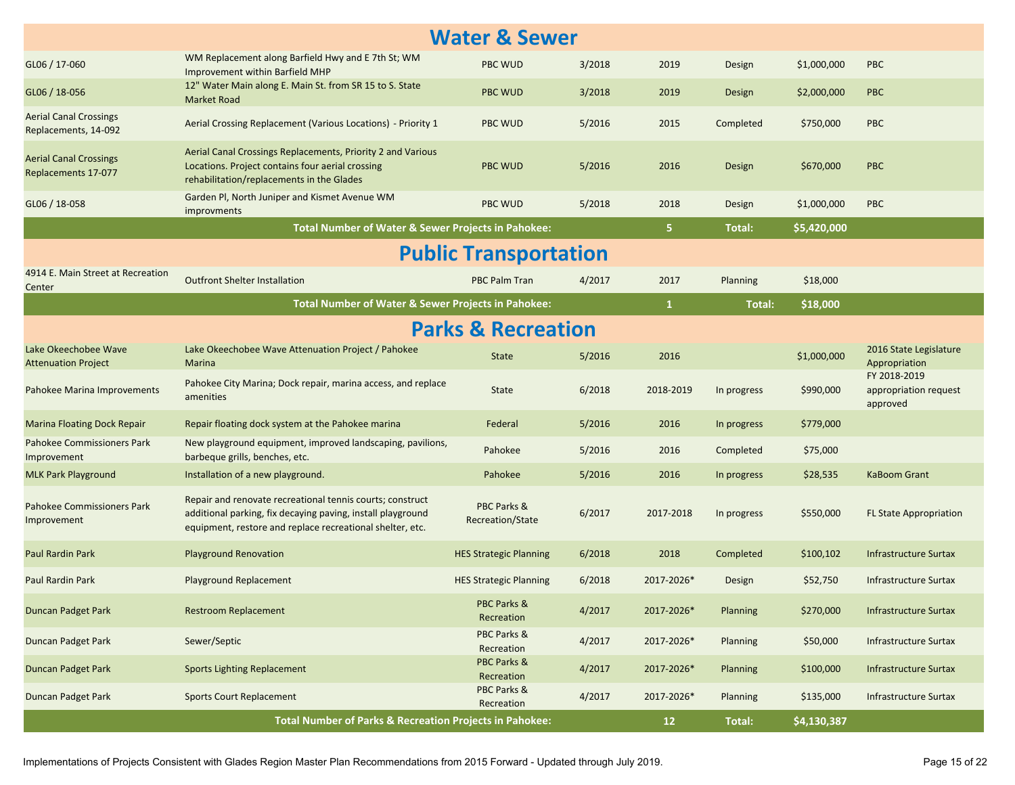| <b>Water &amp; Sewer</b>                              |                                                                                                                                                                                       |                                 |        |              |             |             |                                                   |  |  |
|-------------------------------------------------------|---------------------------------------------------------------------------------------------------------------------------------------------------------------------------------------|---------------------------------|--------|--------------|-------------|-------------|---------------------------------------------------|--|--|
| GL06 / 17-060                                         | WM Replacement along Barfield Hwy and E 7th St; WM<br><b>Improvement within Barfield MHP</b>                                                                                          | <b>PBC WUD</b>                  | 3/2018 | 2019         | Design      | \$1,000,000 | <b>PBC</b>                                        |  |  |
| GL06 / 18-056                                         | 12" Water Main along E. Main St. from SR 15 to S. State<br><b>Market Road</b>                                                                                                         | <b>PBC WUD</b>                  | 3/2018 | 2019         | Design      | \$2,000,000 | <b>PBC</b>                                        |  |  |
| <b>Aerial Canal Crossings</b><br>Replacements, 14-092 | Aerial Crossing Replacement (Various Locations) - Priority 1                                                                                                                          | <b>PBC WUD</b>                  | 5/2016 | 2015         | Completed   | \$750,000   | <b>PBC</b>                                        |  |  |
| <b>Aerial Canal Crossings</b><br>Replacements 17-077  | Aerial Canal Crossings Replacements, Priority 2 and Various<br>Locations. Project contains four aerial crossing<br>rehabilitation/replacements in the Glades                          | <b>PBC WUD</b>                  | 5/2016 | 2016         | Design      | \$670,000   | <b>PBC</b>                                        |  |  |
| GL06 / 18-058                                         | Garden PI, North Juniper and Kismet Avenue WM<br>improvments                                                                                                                          | <b>PBC WUD</b>                  | 5/2018 | 2018         | Design      | \$1,000,000 | <b>PBC</b>                                        |  |  |
|                                                       | Total Number of Water & Sewer Projects in Pahokee:                                                                                                                                    |                                 |        | 5.           | Total:      | \$5,420,000 |                                                   |  |  |
|                                                       |                                                                                                                                                                                       | <b>Public Transportation</b>    |        |              |             |             |                                                   |  |  |
| 4914 E. Main Street at Recreation<br>Center           | <b>Outfront Shelter Installation</b>                                                                                                                                                  | <b>PBC Palm Tran</b>            | 4/2017 | 2017         | Planning    | \$18,000    |                                                   |  |  |
|                                                       | Total Number of Water & Sewer Projects in Pahokee:                                                                                                                                    |                                 |        | $\mathbf{1}$ | Total:      | \$18,000    |                                                   |  |  |
| <b>Parks &amp; Recreation</b>                         |                                                                                                                                                                                       |                                 |        |              |             |             |                                                   |  |  |
| Lake Okeechobee Wave<br><b>Attenuation Project</b>    | Lake Okeechobee Wave Attenuation Project / Pahokee<br>Marina                                                                                                                          | <b>State</b>                    | 5/2016 | 2016         |             | \$1,000,000 | 2016 State Legislature<br>Appropriation           |  |  |
| Pahokee Marina Improvements                           | Pahokee City Marina; Dock repair, marina access, and replace<br>amenities                                                                                                             | State                           | 6/2018 | 2018-2019    | In progress | \$990,000   | FY 2018-2019<br>appropriation request<br>approved |  |  |
| <b>Marina Floating Dock Repair</b>                    | Repair floating dock system at the Pahokee marina                                                                                                                                     | Federal                         | 5/2016 | 2016         | In progress | \$779,000   |                                                   |  |  |
| Pahokee Commissioners Park<br>Improvement             | New playground equipment, improved landscaping, pavilions,<br>barbeque grills, benches, etc.                                                                                          | Pahokee                         | 5/2016 | 2016         | Completed   | \$75,000    |                                                   |  |  |
| <b>MLK Park Playground</b>                            | Installation of a new playground.                                                                                                                                                     | Pahokee                         | 5/2016 | 2016         | In progress | \$28,535    | KaBoom Grant                                      |  |  |
| Pahokee Commissioners Park<br>Improvement             | Repair and renovate recreational tennis courts; construct<br>additional parking, fix decaying paving, install playground<br>equipment, restore and replace recreational shelter, etc. | PBC Parks &<br>Recreation/State | 6/2017 | 2017-2018    | In progress | \$550,000   | <b>FL State Appropriation</b>                     |  |  |
| Paul Rardin Park                                      | <b>Playground Renovation</b>                                                                                                                                                          | <b>HES Strategic Planning</b>   | 6/2018 | 2018         | Completed   | \$100,102   | Infrastructure Surtax                             |  |  |
| Paul Rardin Park                                      | Playground Replacement                                                                                                                                                                | <b>HES Strategic Planning</b>   | 6/2018 | 2017-2026*   | Design      | \$52,750    | Infrastructure Surtax                             |  |  |
| <b>Duncan Padget Park</b>                             | <b>Restroom Replacement</b>                                                                                                                                                           | PBC Parks &<br>Recreation       | 4/2017 | 2017-2026*   | Planning    | \$270,000   | <b>Infrastructure Surtax</b>                      |  |  |
| Duncan Padget Park                                    | Sewer/Septic                                                                                                                                                                          | PBC Parks &<br>Recreation       | 4/2017 | 2017-2026*   | Planning    | \$50,000    | <b>Infrastructure Surtax</b>                      |  |  |
| <b>Duncan Padget Park</b>                             | <b>Sports Lighting Replacement</b>                                                                                                                                                    | PBC Parks &<br>Recreation       | 4/2017 | 2017-2026*   | Planning    | \$100,000   | <b>Infrastructure Surtax</b>                      |  |  |
| Duncan Padget Park                                    | <b>Sports Court Replacement</b>                                                                                                                                                       | PBC Parks &<br>Recreation       | 4/2017 | 2017-2026*   | Planning    | \$135,000   | <b>Infrastructure Surtax</b>                      |  |  |
|                                                       | <b>Total Number of Parks &amp; Recreation Projects in Pahokee:</b>                                                                                                                    |                                 |        | 12           | Total:      | \$4,130,387 |                                                   |  |  |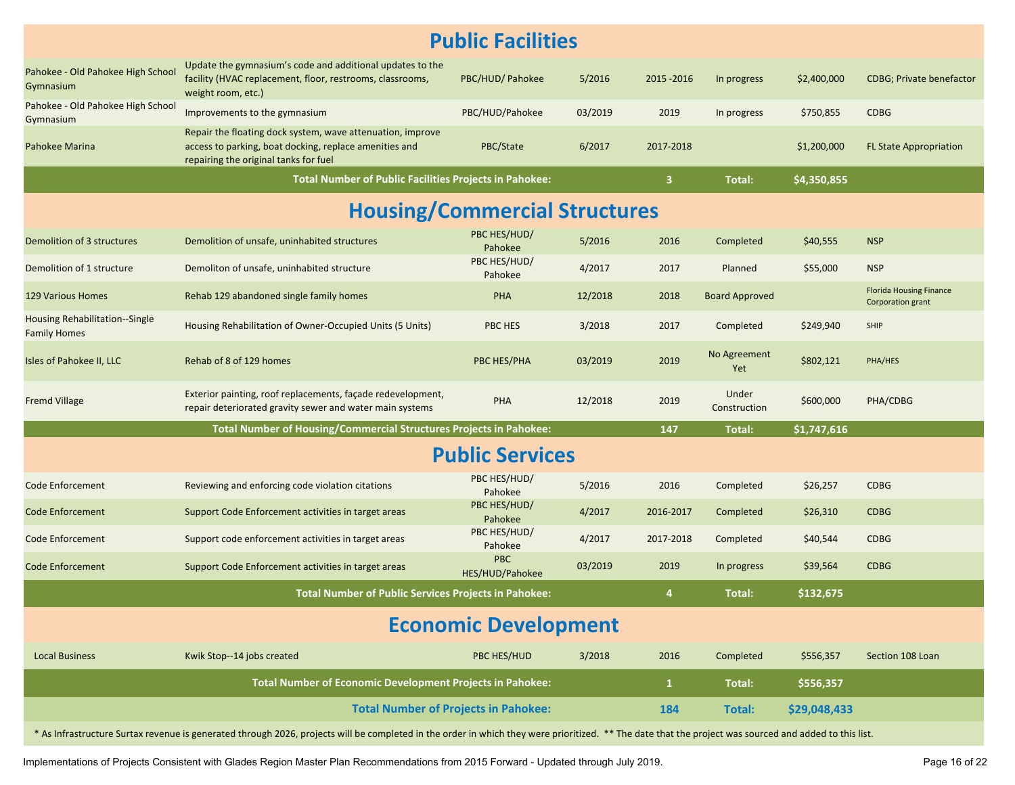| <b>Public Facilities</b>                              |                                                                                                                                                                                                        |                               |         |              |                       |              |                                                     |  |  |  |
|-------------------------------------------------------|--------------------------------------------------------------------------------------------------------------------------------------------------------------------------------------------------------|-------------------------------|---------|--------------|-----------------------|--------------|-----------------------------------------------------|--|--|--|
| Pahokee - Old Pahokee High School<br>Gymnasium        | Update the gymnasium's code and additional updates to the<br>facility (HVAC replacement, floor, restrooms, classrooms,<br>weight room, etc.)                                                           | PBC/HUD/ Pahokee              | 5/2016  | 2015 - 2016  | In progress           | \$2,400,000  | <b>CDBG</b> ; Private benefactor                    |  |  |  |
| Pahokee - Old Pahokee High School<br>Gymnasium        | Improvements to the gymnasium                                                                                                                                                                          | PBC/HUD/Pahokee               | 03/2019 | 2019         | In progress           | \$750,855    | <b>CDBG</b>                                         |  |  |  |
| Pahokee Marina                                        | Repair the floating dock system, wave attenuation, improve<br>access to parking, boat docking, replace amenities and<br>repairing the original tanks for fuel                                          | PBC/State                     | 6/2017  | 2017-2018    |                       | \$1,200,000  | <b>FL State Appropriation</b>                       |  |  |  |
|                                                       | <b>Total Number of Public Facilities Projects in Pahokee:</b>                                                                                                                                          |                               |         | $\mathbf{3}$ | Total:                | \$4,350,855  |                                                     |  |  |  |
| <b>Housing/Commercial Structures</b>                  |                                                                                                                                                                                                        |                               |         |              |                       |              |                                                     |  |  |  |
| Demolition of 3 structures                            | Demolition of unsafe, uninhabited structures                                                                                                                                                           | PBC HES/HUD/<br>Pahokee       | 5/2016  | 2016         | Completed             | \$40,555     | <b>NSP</b>                                          |  |  |  |
| Demolition of 1 structure                             | Demoliton of unsafe, uninhabited structure                                                                                                                                                             | PBC HES/HUD/<br>Pahokee       | 4/2017  | 2017         | Planned               | \$55,000     | <b>NSP</b>                                          |  |  |  |
| <b>129 Various Homes</b>                              | Rehab 129 abandoned single family homes                                                                                                                                                                | <b>PHA</b>                    | 12/2018 | 2018         | <b>Board Approved</b> |              | <b>Florida Housing Finance</b><br>Corporation grant |  |  |  |
| Housing Rehabilitation--Single<br><b>Family Homes</b> | Housing Rehabilitation of Owner-Occupied Units (5 Units)                                                                                                                                               | PBC HES                       | 3/2018  | 2017         | Completed             | \$249,940    | SHIP                                                |  |  |  |
| Isles of Pahokee II, LLC                              | Rehab of 8 of 129 homes                                                                                                                                                                                | PBC HES/PHA                   | 03/2019 | 2019         | No Agreement<br>Yet   | \$802,121    | PHA/HES                                             |  |  |  |
| <b>Fremd Village</b>                                  | Exterior painting, roof replacements, façade redevelopment,<br>repair deteriorated gravity sewer and water main systems                                                                                | <b>PHA</b>                    | 12/2018 | 2019         | Under<br>Construction | \$600,000    | PHA/CDBG                                            |  |  |  |
|                                                       | Total Number of Housing/Commercial Structures Projects in Pahokee:                                                                                                                                     |                               |         | 147          | Total:                | \$1,747,616  |                                                     |  |  |  |
|                                                       |                                                                                                                                                                                                        | <b>Public Services</b>        |         |              |                       |              |                                                     |  |  |  |
| <b>Code Enforcement</b>                               | Reviewing and enforcing code violation citations                                                                                                                                                       | PBC HES/HUD/<br>Pahokee       | 5/2016  | 2016         | Completed             | \$26,257     | <b>CDBG</b>                                         |  |  |  |
| <b>Code Enforcement</b>                               | Support Code Enforcement activities in target areas                                                                                                                                                    | PBC HES/HUD/<br>Pahokee       | 4/2017  | 2016-2017    | Completed             | \$26,310     | <b>CDBG</b>                                         |  |  |  |
| <b>Code Enforcement</b>                               | Support code enforcement activities in target areas                                                                                                                                                    | PBC HES/HUD/<br>Pahokee       | 4/2017  | 2017-2018    | Completed             | \$40,544     | <b>CDBG</b>                                         |  |  |  |
| <b>Code Enforcement</b>                               | Support Code Enforcement activities in target areas                                                                                                                                                    | <b>PBC</b><br>HES/HUD/Pahokee | 03/2019 | 2019         | In progress           | \$39,564     | <b>CDBG</b>                                         |  |  |  |
|                                                       | Total Number of Public Services Projects in Pahokee:                                                                                                                                                   |                               |         | 4            | Total:                | \$132,675    |                                                     |  |  |  |
|                                                       |                                                                                                                                                                                                        | <b>Economic Development</b>   |         |              |                       |              |                                                     |  |  |  |
| <b>Local Business</b>                                 | Kwik Stop--14 jobs created                                                                                                                                                                             | PBC HES/HUD                   | 3/2018  | 2016         | Completed             | \$556,357    | Section 108 Loan                                    |  |  |  |
|                                                       | <b>Total Number of Economic Development Projects in Pahokee:</b>                                                                                                                                       |                               |         | $\mathbf{1}$ | Total:                | \$556,357    |                                                     |  |  |  |
|                                                       | <b>Total Number of Projects in Pahokee:</b>                                                                                                                                                            |                               |         | 184          | <b>Total:</b>         | \$29,048,433 |                                                     |  |  |  |
|                                                       | * As Infrastructure Surtax revenue is generated through 2026, projects will be completed in the order in which they were prioritized. ** The date that the project was sourced and added to this list. |                               |         |              |                       |              |                                                     |  |  |  |

Implementations of Projects Consistent with Glades Region Master Plan Recommendations from 2015 Forward - Updated through July 2019.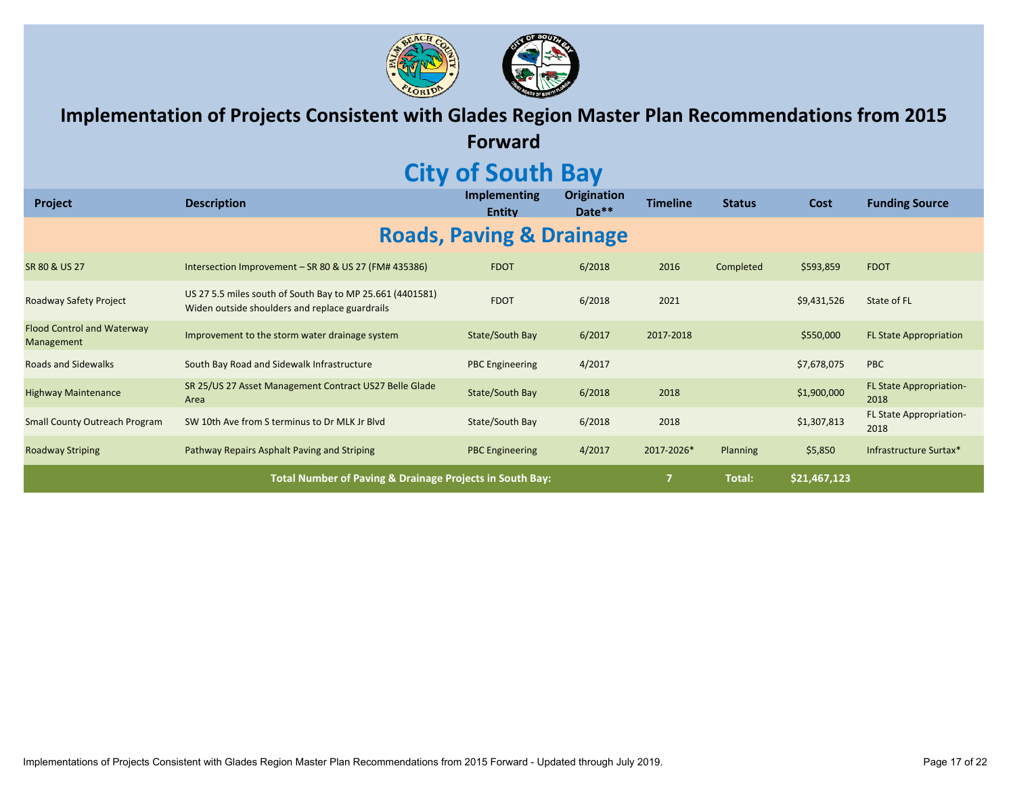

**Implementation of Projects Consistent with Glades Region Master Plan Recommendations from 2015**

**Forward**

### **City of South Bay**

| Project                                         | <b>Description</b>                                                                                          | <b>Implementing</b><br><b>Entity</b> | <b>Origination</b><br>Date** | Timeline       | <b>Status</b>   | Cost         | <b>Funding Source</b>                  |
|-------------------------------------------------|-------------------------------------------------------------------------------------------------------------|--------------------------------------|------------------------------|----------------|-----------------|--------------|----------------------------------------|
|                                                 |                                                                                                             | <b>Roads, Paving &amp; Drainage</b>  |                              |                |                 |              |                                        |
| SR 80 & US 27                                   | Intersection Improvement - SR 80 & US 27 (FM# 435386)                                                       | <b>FDOT</b>                          | 6/2018                       | 2016           | Completed       | \$593,859    | <b>FDOT</b>                            |
| Roadway Safety Project                          | US 27 5.5 miles south of South Bay to MP 25.661 (4401581)<br>Widen outside shoulders and replace guardrails | <b>FDOT</b>                          | 6/2018                       | 2021           |                 | \$9,431,526  | State of FL                            |
| <b>Flood Control and Waterway</b><br>Management | Improvement to the storm water drainage system                                                              | State/South Bay                      | 6/2017                       | 2017-2018      |                 | \$550,000    | <b>FL State Appropriation</b>          |
| <b>Roads and Sidewalks</b>                      | South Bay Road and Sidewalk Infrastructure                                                                  | <b>PBC</b> Engineering               | 4/2017                       |                |                 | \$7,678,075  | <b>PBC</b>                             |
| <b>Highway Maintenance</b>                      | SR 25/US 27 Asset Management Contract US27 Belle Glade<br>Area                                              | State/South Bay                      | 6/2018                       | 2018           |                 | \$1,900,000  | <b>FL State Appropriation-</b><br>2018 |
| <b>Small County Outreach Program</b>            | SW 10th Ave from S terminus to Dr MLK Jr Blvd                                                               | State/South Bay                      | 6/2018                       | 2018           |                 | \$1,307,813  | <b>FL State Appropriation-</b><br>2018 |
| <b>Roadway Striping</b>                         | Pathway Repairs Asphalt Paving and Striping                                                                 | <b>PBC Engineering</b>               | 4/2017                       | 2017-2026*     | <b>Planning</b> | \$5,850      | Infrastructure Surtax*                 |
|                                                 | Total Number of Paving & Drainage Projects in South Bay:                                                    |                                      |                              | $\overline{7}$ | Total:          | \$21,467,123 |                                        |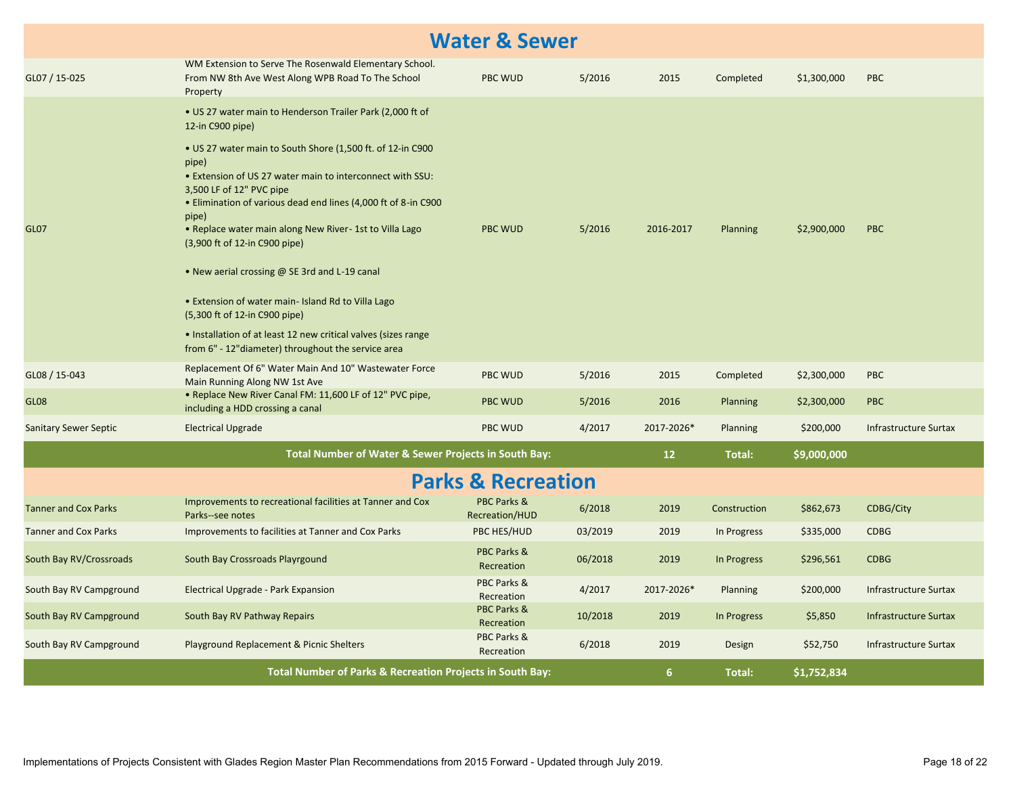| <b>Water &amp; Sewer</b>     |                                                                                                                                                                                                                                                                                                                                                                                                                                                                                                                                                                                                                                                                                      |                               |         |                   |              |             |                              |  |
|------------------------------|--------------------------------------------------------------------------------------------------------------------------------------------------------------------------------------------------------------------------------------------------------------------------------------------------------------------------------------------------------------------------------------------------------------------------------------------------------------------------------------------------------------------------------------------------------------------------------------------------------------------------------------------------------------------------------------|-------------------------------|---------|-------------------|--------------|-------------|------------------------------|--|
| GL07 / 15-025                | WM Extension to Serve The Rosenwald Elementary School.<br>From NW 8th Ave West Along WPB Road To The School<br>Property                                                                                                                                                                                                                                                                                                                                                                                                                                                                                                                                                              | PBC WUD                       | 5/2016  | 2015              | Completed    | \$1,300,000 | <b>PBC</b>                   |  |
| <b>GL07</b>                  | . US 27 water main to Henderson Trailer Park (2,000 ft of<br>12-in C900 pipe)<br>• US 27 water main to South Shore (1,500 ft. of 12-in C900<br>pipe)<br>. Extension of US 27 water main to interconnect with SSU:<br>3,500 LF of 12" PVC pipe<br>. Elimination of various dead end lines (4,000 ft of 8-in C900<br>pipe)<br>• Replace water main along New River-1st to Villa Lago<br>(3,900 ft of 12-in C900 pipe)<br>• New aerial crossing @ SE 3rd and L-19 canal<br>• Extension of water main- Island Rd to Villa Lago<br>(5,300 ft of 12-in C900 pipe)<br>• Installation of at least 12 new critical valves (sizes range<br>from 6" - 12" diameter) throughout the service area | <b>PBC WUD</b>                | 5/2016  | 2016-2017         | Planning     | \$2,900,000 | PBC                          |  |
| GL08 / 15-043                | Replacement Of 6" Water Main And 10" Wastewater Force<br>Main Running Along NW 1st Ave                                                                                                                                                                                                                                                                                                                                                                                                                                                                                                                                                                                               | <b>PBC WUD</b>                | 5/2016  | 2015              | Completed    | \$2,300,000 | <b>PBC</b>                   |  |
| GL <sub>08</sub>             | . Replace New River Canal FM: 11,600 LF of 12" PVC pipe,<br>including a HDD crossing a canal                                                                                                                                                                                                                                                                                                                                                                                                                                                                                                                                                                                         | <b>PBC WUD</b>                | 5/2016  | 2016              | Planning     | \$2,300,000 | <b>PBC</b>                   |  |
| <b>Sanitary Sewer Septic</b> | <b>Electrical Upgrade</b>                                                                                                                                                                                                                                                                                                                                                                                                                                                                                                                                                                                                                                                            | <b>PBC WUD</b>                | 4/2017  | 2017-2026*        | Planning     | \$200,000   | <b>Infrastructure Surtax</b> |  |
|                              | Total Number of Water & Sewer Projects in South Bay:                                                                                                                                                                                                                                                                                                                                                                                                                                                                                                                                                                                                                                 |                               |         | $12 \overline{ }$ | Total:       | \$9,000,000 |                              |  |
|                              |                                                                                                                                                                                                                                                                                                                                                                                                                                                                                                                                                                                                                                                                                      | <b>Parks &amp; Recreation</b> |         |                   |              |             |                              |  |
| <b>Tanner and Cox Parks</b>  | Improvements to recreational facilities at Tanner and Cox<br>Parks--see notes                                                                                                                                                                                                                                                                                                                                                                                                                                                                                                                                                                                                        | PBC Parks &<br>Recreation/HUD | 6/2018  | 2019              | Construction | \$862,673   | <b>CDBG/City</b>             |  |
| <b>Tanner and Cox Parks</b>  | Improvements to facilities at Tanner and Cox Parks                                                                                                                                                                                                                                                                                                                                                                                                                                                                                                                                                                                                                                   | PBC HES/HUD                   | 03/2019 | 2019              | In Progress  | \$335,000   | <b>CDBG</b>                  |  |
| South Bay RV/Crossroads      | South Bay Crossroads Playrgound                                                                                                                                                                                                                                                                                                                                                                                                                                                                                                                                                                                                                                                      | PBC Parks &<br>Recreation     | 06/2018 | 2019              | In Progress  | \$296,561   | <b>CDBG</b>                  |  |
| South Bay RV Campground      | Electrical Upgrade - Park Expansion                                                                                                                                                                                                                                                                                                                                                                                                                                                                                                                                                                                                                                                  | PBC Parks &<br>Recreation     | 4/2017  | 2017-2026*        | Planning     | \$200,000   | Infrastructure Surtax        |  |
| South Bay RV Campground      | South Bay RV Pathway Repairs                                                                                                                                                                                                                                                                                                                                                                                                                                                                                                                                                                                                                                                         | PBC Parks &<br>Recreation     | 10/2018 | 2019              | In Progress  | \$5,850     | <b>Infrastructure Surtax</b> |  |
| South Bay RV Campground      | Playground Replacement & Picnic Shelters                                                                                                                                                                                                                                                                                                                                                                                                                                                                                                                                                                                                                                             | PBC Parks &<br>Recreation     | 6/2018  | 2019              | Design       | \$52,750    | <b>Infrastructure Surtax</b> |  |
|                              | <b>Total Number of Parks &amp; Recreation Projects in South Bay:</b>                                                                                                                                                                                                                                                                                                                                                                                                                                                                                                                                                                                                                 |                               |         | 6                 | Total:       | \$1,752,834 |                              |  |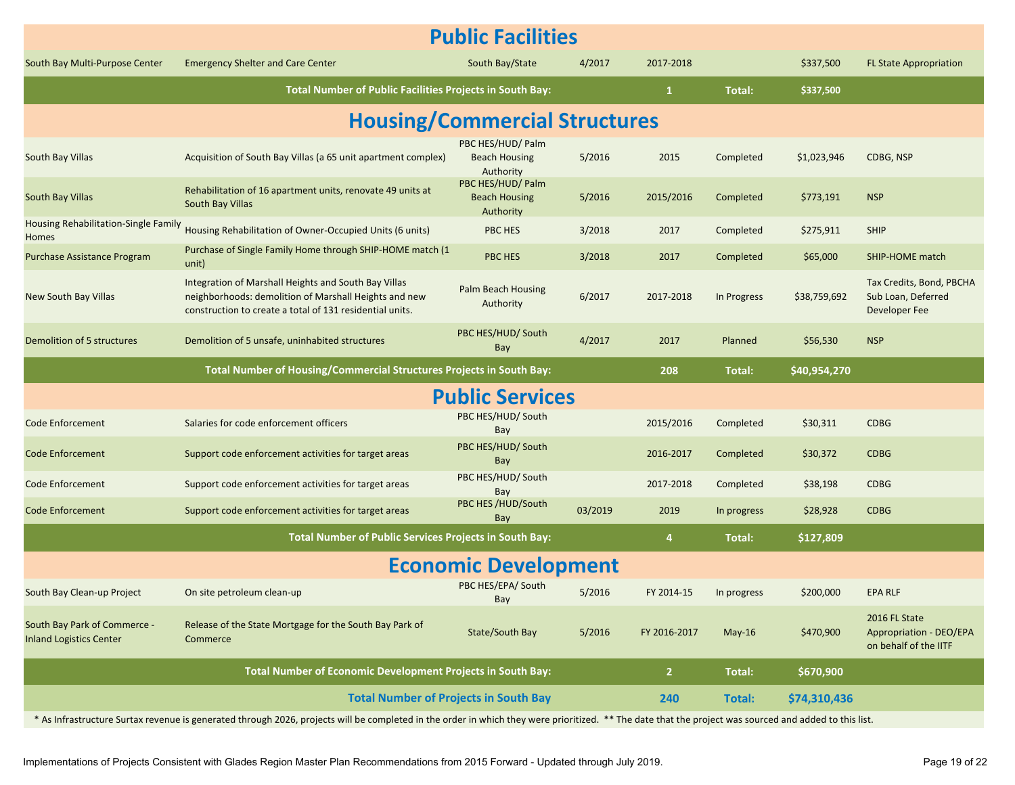| <b>Public Facilities</b>                                       |                                                                                                                                                                                                        |                                                        |         |              |             |              |                                                                   |  |  |
|----------------------------------------------------------------|--------------------------------------------------------------------------------------------------------------------------------------------------------------------------------------------------------|--------------------------------------------------------|---------|--------------|-------------|--------------|-------------------------------------------------------------------|--|--|
| South Bay Multi-Purpose Center                                 | <b>Emergency Shelter and Care Center</b>                                                                                                                                                               | South Bay/State                                        | 4/2017  | 2017-2018    |             | \$337,500    | <b>FL State Appropriation</b>                                     |  |  |
|                                                                | Total Number of Public Facilities Projects in South Bay:                                                                                                                                               |                                                        |         | $\mathbf{1}$ | Total:      | \$337,500    |                                                                   |  |  |
| <b>Housing/Commercial Structures</b>                           |                                                                                                                                                                                                        |                                                        |         |              |             |              |                                                                   |  |  |
| South Bay Villas                                               | Acquisition of South Bay Villas (a 65 unit apartment complex)                                                                                                                                          | PBC HES/HUD/ Palm<br><b>Beach Housing</b><br>Authority | 5/2016  | 2015         | Completed   | \$1,023,946  | CDBG, NSP                                                         |  |  |
| <b>South Bay Villas</b>                                        | Rehabilitation of 16 apartment units, renovate 49 units at<br>South Bay Villas                                                                                                                         | PBC HES/HUD/ Palm<br><b>Beach Housing</b><br>Authority | 5/2016  | 2015/2016    | Completed   | \$773,191    | <b>NSP</b>                                                        |  |  |
| Housing Rehabilitation-Single Family<br>Homes                  | Housing Rehabilitation of Owner-Occupied Units (6 units)                                                                                                                                               | PBC HES                                                | 3/2018  | 2017         | Completed   | \$275,911    | <b>SHIP</b>                                                       |  |  |
| Purchase Assistance Program                                    | Purchase of Single Family Home through SHIP-HOME match (1<br>unit)                                                                                                                                     | PBC HES                                                | 3/2018  | 2017         | Completed   | \$65,000     | SHIP-HOME match                                                   |  |  |
| New South Bay Villas                                           | Integration of Marshall Heights and South Bay Villas<br>neighborhoods: demolition of Marshall Heights and new<br>construction to create a total of 131 residential units.                              | Palm Beach Housing<br>Authority                        | 6/2017  | 2017-2018    | In Progress | \$38,759,692 | Tax Credits, Bond, PBCHA<br>Sub Loan, Deferred<br>Developer Fee   |  |  |
| Demolition of 5 structures                                     | Demolition of 5 unsafe, uninhabited structures                                                                                                                                                         | PBC HES/HUD/ South<br>Bay                              | 4/2017  | 2017         | Planned     | \$56,530     | <b>NSP</b>                                                        |  |  |
|                                                                | Total Number of Housing/Commercial Structures Projects in South Bay:                                                                                                                                   |                                                        |         | 208          | Total:      | \$40,954,270 |                                                                   |  |  |
|                                                                |                                                                                                                                                                                                        | <b>Public Services</b>                                 |         |              |             |              |                                                                   |  |  |
| <b>Code Enforcement</b>                                        | Salaries for code enforcement officers                                                                                                                                                                 | PBC HES/HUD/ South<br>Bay                              |         | 2015/2016    | Completed   | \$30,311     | <b>CDBG</b>                                                       |  |  |
| <b>Code Enforcement</b>                                        | Support code enforcement activities for target areas                                                                                                                                                   | PBC HES/HUD/ South<br>Bay                              |         | 2016-2017    | Completed   | \$30,372     | <b>CDBG</b>                                                       |  |  |
| <b>Code Enforcement</b>                                        | Support code enforcement activities for target areas                                                                                                                                                   | PBC HES/HUD/ South<br>Bay                              |         | 2017-2018    | Completed   | \$38,198     | <b>CDBG</b>                                                       |  |  |
| <b>Code Enforcement</b>                                        | Support code enforcement activities for target areas                                                                                                                                                   | PBC HES /HUD/South<br>Bay                              | 03/2019 | 2019         | In progress | \$28,928     | <b>CDBG</b>                                                       |  |  |
|                                                                | Total Number of Public Services Projects in South Bay:                                                                                                                                                 |                                                        |         | 4            | Total:      | \$127,809    |                                                                   |  |  |
|                                                                |                                                                                                                                                                                                        | <b>Economic Development</b>                            |         |              |             |              |                                                                   |  |  |
| South Bay Clean-up Project                                     | On site petroleum clean-up                                                                                                                                                                             | PBC HES/EPA/ South<br>Bay                              | 5/2016  | FY 2014-15   | In progress | \$200,000    | <b>EPA RLF</b>                                                    |  |  |
| South Bay Park of Commerce -<br><b>Inland Logistics Center</b> | Release of the State Mortgage for the South Bay Park of<br>Commerce                                                                                                                                    | State/South Bay                                        | 5/2016  | FY 2016-2017 | $May-16$    | \$470,900    | 2016 FL State<br>Appropriation - DEO/EPA<br>on behalf of the IITF |  |  |
|                                                                | Total Number of Economic Development Projects in South Bay:                                                                                                                                            |                                                        |         | $\mathbf{2}$ | Total:      | \$670,900    |                                                                   |  |  |
|                                                                | <b>Total Number of Projects in South Bay</b>                                                                                                                                                           |                                                        |         | 240          | Total:      | \$74,310,436 |                                                                   |  |  |
|                                                                | * As Infrastructure Surtax revenue is generated through 2026, projects will be completed in the order in which they were prioritized. ** The date that the project was sourced and added to this list. |                                                        |         |              |             |              |                                                                   |  |  |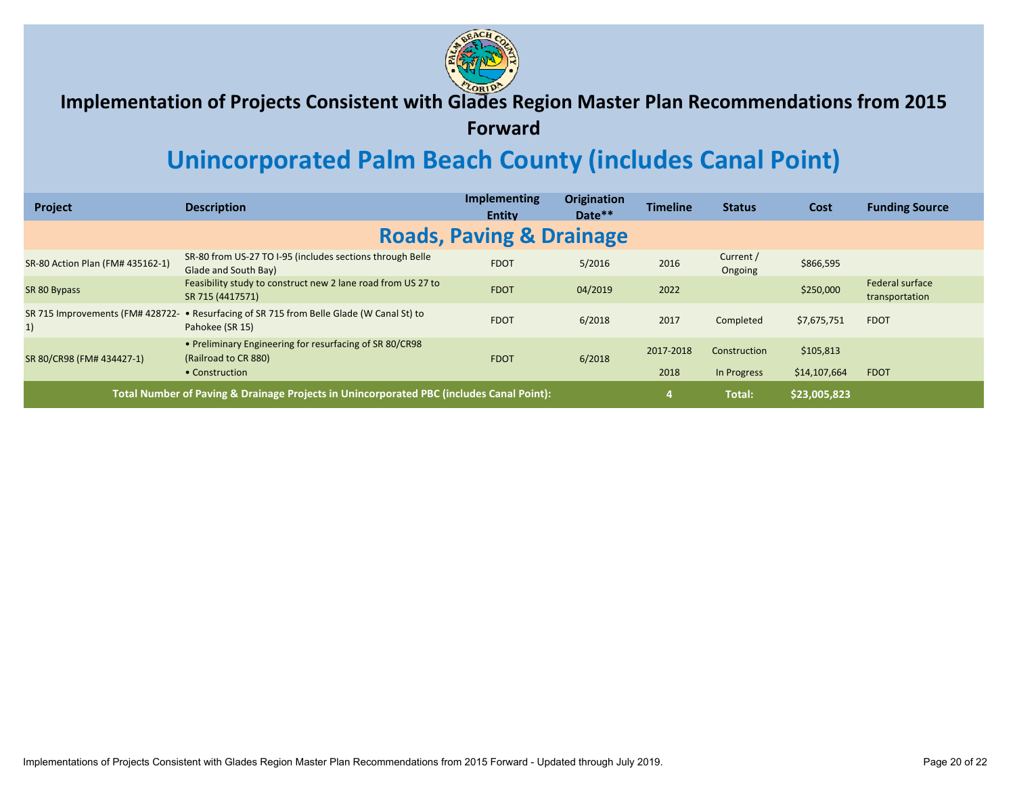

#### **Implementation of Projects Consistent with Glades Region Master Plan Recommendations from 2015**

**Forward**

### **Unincorporated Palm Beach County (includes Canal Point)**

| Project                                                                                  | <b>Description</b>                                                                | <b>Implementing</b><br><b>Entity</b> | <b>Origination</b><br>Date** | <b>Timeline</b> | <b>Status</b>        | Cost         | <b>Funding Source</b>             |
|------------------------------------------------------------------------------------------|-----------------------------------------------------------------------------------|--------------------------------------|------------------------------|-----------------|----------------------|--------------|-----------------------------------|
|                                                                                          |                                                                                   | <b>Roads, Paving &amp; Drainage</b>  |                              |                 |                      |              |                                   |
| SR-80 Action Plan (FM# 435162-1)                                                         | SR-80 from US-27 TO I-95 (includes sections through Belle<br>Glade and South Bay) | <b>FDOT</b>                          | 5/2016                       | 2016            | Current /<br>Ongoing | \$866,595    |                                   |
| SR 80 Bypass                                                                             | Feasibility study to construct new 2 lane road from US 27 to<br>SR 715 (4417571)  | <b>FDOT</b>                          | 04/2019                      | 2022            |                      | \$250,000    | Federal surface<br>transportation |
| SR 715 Improvements (FM# 428722-<br>1)                                                   | • Resurfacing of SR 715 from Belle Glade (W Canal St) to<br>Pahokee (SR 15)       | <b>FDOT</b>                          | 6/2018                       | 2017            | Completed            | \$7,675,751  | <b>FDOT</b>                       |
| SR 80/CR98 (FM# 434427-1)                                                                | • Preliminary Engineering for resurfacing of SR 80/CR98<br>(Railroad to CR 880)   | <b>FDOT</b>                          | 6/2018                       | 2017-2018       | Construction         | \$105,813    |                                   |
|                                                                                          | • Construction                                                                    |                                      |                              | 2018            | In Progress          | \$14,107,664 | <b>FDOT</b>                       |
| Total Number of Paving & Drainage Projects in Unincorporated PBC (includes Canal Point): |                                                                                   |                                      |                              |                 | Total:               | \$23,005,823 |                                   |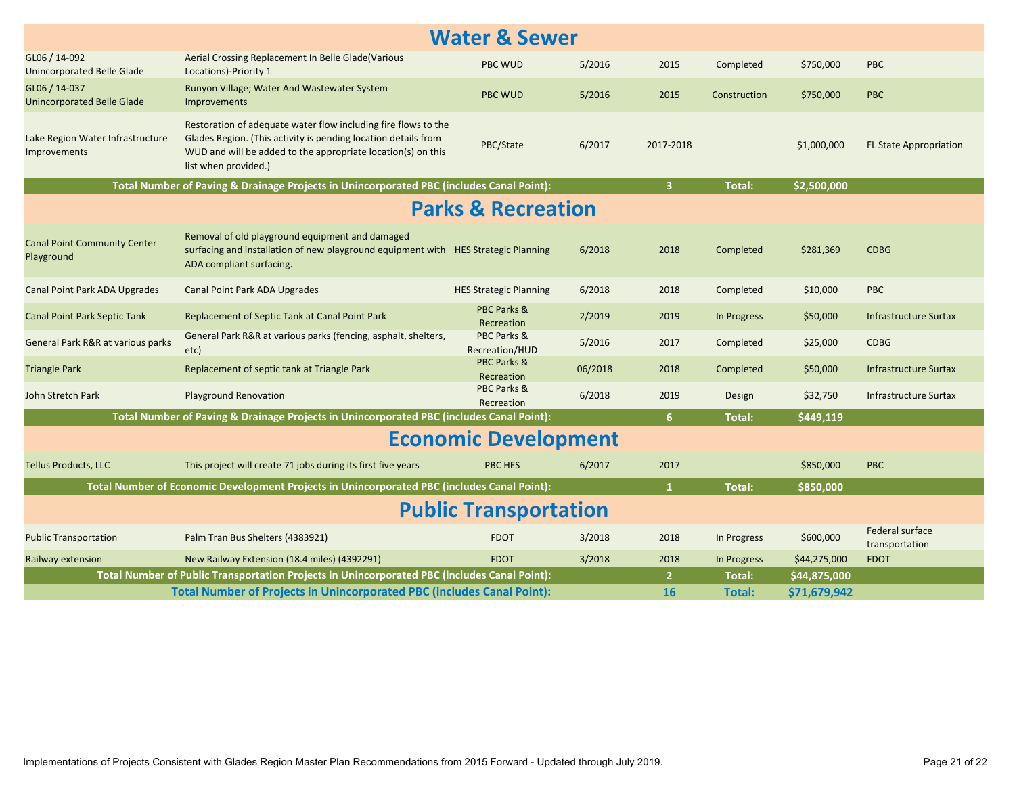|                                                    |                                                                                                                                                                                                                          | <b>Water &amp; Sewer</b>      |         |                |               |              |                                   |
|----------------------------------------------------|--------------------------------------------------------------------------------------------------------------------------------------------------------------------------------------------------------------------------|-------------------------------|---------|----------------|---------------|--------------|-----------------------------------|
| GL06 / 14-092<br><b>Unincorporated Belle Glade</b> | Aerial Crossing Replacement In Belle Glade(Various<br>Locations)-Priority 1                                                                                                                                              | <b>PBC WUD</b>                | 5/2016  | 2015           | Completed     | \$750,000    | <b>PBC</b>                        |
| GL06 / 14-037<br><b>Unincorporated Belle Glade</b> | Runyon Village; Water And Wastewater System<br>Improvements                                                                                                                                                              | <b>PBC WUD</b>                | 5/2016  | 2015           | Construction  | \$750,000    | <b>PBC</b>                        |
| Lake Region Water Infrastructure<br>Improvements   | Restoration of adequate water flow including fire flows to the<br>Glades Region. (This activity is pending location details from<br>WUD and will be added to the appropriate location(s) on this<br>list when provided.) | PBC/State                     | 6/2017  | 2017-2018      |               | \$1,000,000  | <b>FL State Appropriation</b>     |
|                                                    | Total Number of Paving & Drainage Projects in Unincorporated PBC (includes Canal Point):                                                                                                                                 |                               |         | $\overline{3}$ | Total:        | \$2,500,000  |                                   |
|                                                    |                                                                                                                                                                                                                          | <b>Parks &amp; Recreation</b> |         |                |               |              |                                   |
| <b>Canal Point Community Center</b><br>Playground  | Removal of old playground equipment and damaged<br>surfacing and installation of new playground equipment with HES Strategic Planning<br>ADA compliant surfacing.                                                        |                               | 6/2018  | 2018           | Completed     | \$281,369    | <b>CDBG</b>                       |
| <b>Canal Point Park ADA Upgrades</b>               | <b>Canal Point Park ADA Upgrades</b>                                                                                                                                                                                     | <b>HES Strategic Planning</b> | 6/2018  | 2018           | Completed     | \$10,000     | <b>PBC</b>                        |
| <b>Canal Point Park Septic Tank</b>                | Replacement of Septic Tank at Canal Point Park                                                                                                                                                                           | PBC Parks &<br>Recreation     | 2/2019  | 2019           | In Progress   | \$50,000     | Infrastructure Surtax             |
| General Park R&R at various parks                  | General Park R&R at various parks (fencing, asphalt, shelters,<br>etc)                                                                                                                                                   | PBC Parks &<br>Recreation/HUD | 5/2016  | 2017           | Completed     | \$25,000     | <b>CDBG</b>                       |
| <b>Triangle Park</b>                               | Replacement of septic tank at Triangle Park                                                                                                                                                                              | PBC Parks &<br>Recreation     | 06/2018 | 2018           | Completed     | \$50,000     | <b>Infrastructure Surtax</b>      |
| John Stretch Park                                  | <b>Playground Renovation</b>                                                                                                                                                                                             | PBC Parks &<br>Recreation     | 6/2018  | 2019           | Design        | \$32,750     | <b>Infrastructure Surtax</b>      |
|                                                    | Total Number of Paving & Drainage Projects in Unincorporated PBC (includes Canal Point):                                                                                                                                 |                               |         | 6 <sup>1</sup> | <b>Total:</b> | \$449,119    |                                   |
|                                                    |                                                                                                                                                                                                                          | <b>Economic Development</b>   |         |                |               |              |                                   |
| <b>Tellus Products, LLC</b>                        | This project will create 71 jobs during its first five years                                                                                                                                                             | <b>PBC HES</b>                | 6/2017  | 2017           |               | \$850,000    | <b>PBC</b>                        |
|                                                    | Total Number of Economic Development Projects in Unincorporated PBC (includes Canal Point):                                                                                                                              |                               |         | $\mathbf{1}$   | <b>Total:</b> | \$850,000    |                                   |
|                                                    |                                                                                                                                                                                                                          | <b>Public Transportation</b>  |         |                |               |              |                                   |
| <b>Public Transportation</b>                       | Palm Tran Bus Shelters (4383921)                                                                                                                                                                                         | <b>FDOT</b>                   | 3/2018  | 2018           | In Progress   | \$600,000    | Federal surface<br>transportation |
| Railway extension                                  | New Railway Extension (18.4 miles) (4392291)                                                                                                                                                                             | <b>FDOT</b>                   | 3/2018  | 2018           | In Progress   | \$44,275,000 | <b>FDOT</b>                       |
|                                                    | Total Number of Public Transportation Projects in Unincorporated PBC (includes Canal Point):                                                                                                                             |                               |         | 2 <sup>1</sup> | <b>Total:</b> | \$44,875,000 |                                   |
|                                                    | <b>Total Number of Projects in Unincorporated PBC (includes Canal Point):</b>                                                                                                                                            |                               |         | <b>16</b>      | Total:        | \$71,679,942 |                                   |